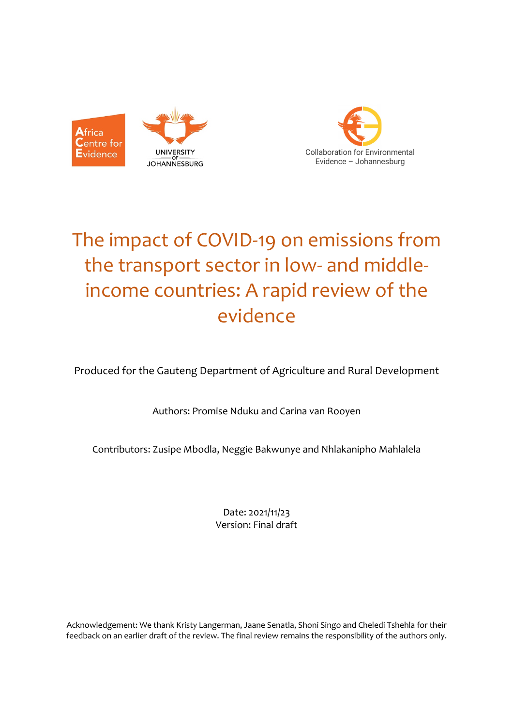



# The impact of COVID-19 on emissions from the transport sector in low- and middleincome countries: A rapid review of the evidence

Produced for the Gauteng Department of Agriculture and Rural Development

Authors: Promise Nduku and Carina van Rooyen

Contributors: Zusipe Mbodla, Neggie Bakwunye and Nhlakanipho Mahlalela

Date: 2021/11/23 Version: Final draft

Acknowledgement: We thank Kristy Langerman, Jaane Senatla, Shoni Singo and Cheledi Tshehla for their feedback on an earlier draft of the review. The final review remains the responsibility of the authors only.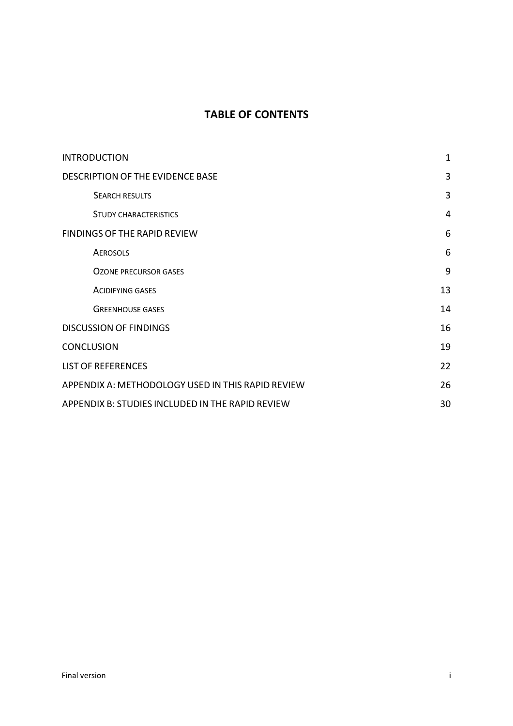## **TABLE OF CONTENTS**

| <b>INTRODUCTION</b>                               | $\mathbf 1$    |
|---------------------------------------------------|----------------|
| DESCRIPTION OF THE EVIDENCE BASE                  | 3              |
| <b>SEARCH RESULTS</b>                             | 3              |
| <b>STUDY CHARACTERISTICS</b>                      | $\overline{4}$ |
| <b>FINDINGS OF THE RAPID REVIEW</b>               | 6              |
| <b>AEROSOLS</b>                                   | 6              |
| <b>OZONE PRECURSOR GASES</b>                      | 9              |
| <b>ACIDIFYING GASES</b>                           | 13             |
| <b>GREENHOUSE GASES</b>                           | 14             |
| <b>DISCUSSION OF FINDINGS</b>                     | 16             |
| <b>CONCLUSION</b>                                 | 19             |
| <b>LIST OF REFERENCES</b>                         | 22             |
| APPENDIX A: METHODOLOGY USED IN THIS RAPID REVIEW | 26             |
| APPENDIX B: STUDIES INCLUDED IN THE RAPID REVIEW  | 30             |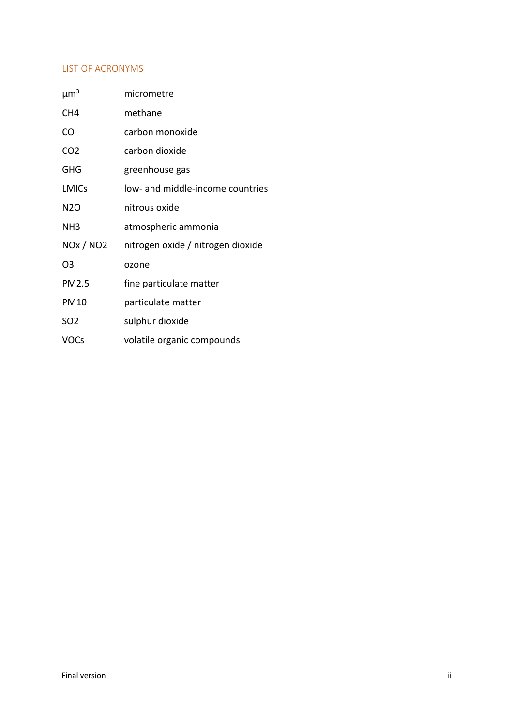#### LIST OF ACRONYMS

| $\mu m^3$                                     | micrometre                        |
|-----------------------------------------------|-----------------------------------|
| CH <sub>4</sub>                               | methane                           |
| CO                                            | carbon monoxide                   |
| CO <sub>2</sub>                               | carbon dioxide                    |
| <b>GHG</b>                                    | greenhouse gas                    |
| <b>LMICs</b>                                  | low- and middle-income countries  |
| N <sub>2</sub> O                              | nitrous oxide                     |
| NH <sub>3</sub>                               | atmospheric ammonia               |
| <b>NO<sub>x</sub></b> / <b>NO<sub>2</sub></b> | nitrogen oxide / nitrogen dioxide |
| O3                                            | ozone                             |
| <b>PM2.5</b>                                  | fine particulate matter           |
| <b>PM10</b>                                   | particulate matter                |
| SO <sub>2</sub>                               | sulphur dioxide                   |
| <b>VOCs</b>                                   | volatile organic compounds        |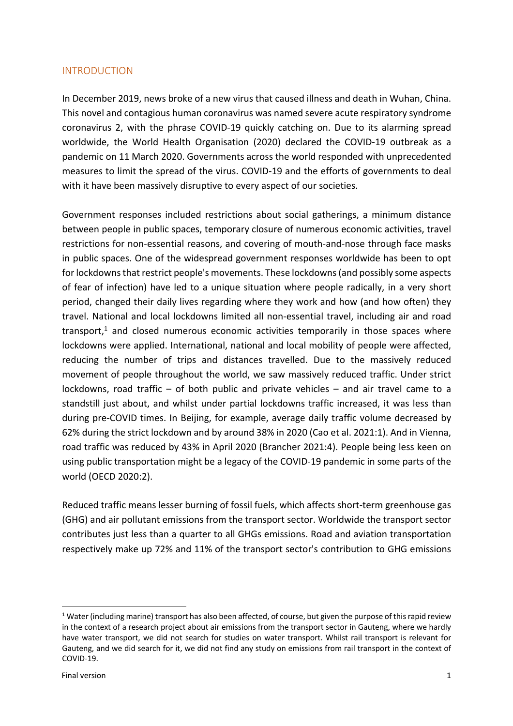### INTRODUCTION

In December 2019, news broke of a new virus that caused illness and death in Wuhan, China. This novel and contagious human coronavirus was named severe acute respiratory syndrome coronavirus 2, with the phrase COVID-19 quickly catching on. Due to its alarming spread worldwide, the World Health Organisation (2020) declared the COVID-19 outbreak as a pandemic on 11 March 2020. Governments across the world responded with unprecedented measures to limit the spread of the virus. COVID-19 and the efforts of governments to deal with it have been massively disruptive to every aspect of our societies.

Government responses included restrictions about social gatherings, a minimum distance between people in public spaces, temporary closure of numerous economic activities, travel restrictions for non-essential reasons, and covering of mouth-and-nose through face masks in public spaces. One of the widespread government responses worldwide has been to opt for lockdownsthat restrict people's movements. These lockdowns (and possibly some aspects of fear of infection) have led to a unique situation where people radically, in a very short period, changed their daily lives regarding where they work and how (and how often) they travel. National and local lockdowns limited all non-essential travel, including air and road transport, $1$  and closed numerous economic activities temporarily in those spaces where lockdowns were applied. International, national and local mobility of people were affected, reducing the number of trips and distances travelled. Due to the massively reduced movement of people throughout the world, we saw massively reduced traffic. Under strict lockdowns, road traffic – of both public and private vehicles – and air travel came to a standstill just about, and whilst under partial lockdowns traffic increased, it was less than during pre-COVID times. In Beijing, for example, average daily traffic volume decreased by 62% during the strict lockdown and by around 38% in 2020 (Cao et al. 2021:1). And in Vienna, road traffic was reduced by 43% in April 2020 (Brancher 2021:4). People being less keen on using public transportation might be a legacy of the COVID-19 pandemic in some parts of the world (OECD 2020:2).

Reduced traffic means lesser burning of fossil fuels, which affects short-term greenhouse gas (GHG) and air pollutant emissions from the transport sector. Worldwide the transport sector contributes just less than a quarter to all GHGs emissions. Road and aviation transportation respectively make up 72% and 11% of the transport sector's contribution to GHG emissions

 $1$  Water (including marine) transport has also been affected, of course, but given the purpose of this rapid review in the context of a research project about air emissions from the transport sector in Gauteng, where we hardly have water transport, we did not search for studies on water transport. Whilst rail transport is relevant for Gauteng, and we did search for it, we did not find any study on emissions from rail transport in the context of COVID-19.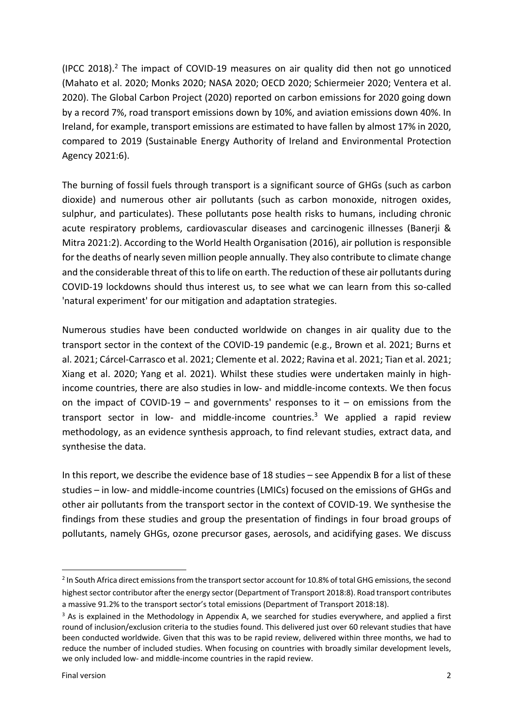(IPCC 2018). <sup>2</sup> The impact of COVID-19 measures on air quality did then not go unnoticed (Mahato et al. 2020; Monks 2020; NASA 2020; OECD 2020; Schiermeier 2020; Ventera et al. 2020). The Global Carbon Project (2020) reported on carbon emissions for 2020 going down by a record 7%, road transport emissions down by 10%, and aviation emissions down 40%. In Ireland, for example, transport emissions are estimated to have fallen by almost 17% in 2020, compared to 2019 (Sustainable Energy Authority of Ireland and Environmental Protection Agency 2021:6).

The burning of fossil fuels through transport is a significant source of GHGs (such as carbon dioxide) and numerous other air pollutants (such as carbon monoxide, nitrogen oxides, sulphur, and particulates). These pollutants pose health risks to humans, including chronic acute respiratory problems, cardiovascular diseases and carcinogenic illnesses (Banerji & Mitra 2021:2). According to the World Health Organisation (2016), air pollution is responsible for the deaths of nearly seven million people annually. They also contribute to climate change and the considerable threat of this to life on earth. The reduction of these air pollutants during COVID-19 lockdowns should thus interest us, to see what we can learn from this so-called 'natural experiment' for our mitigation and adaptation strategies.

Numerous studies have been conducted worldwide on changes in air quality due to the transport sector in the context of the COVID-19 pandemic (e.g., Brown et al. 2021; Burns et al. 2021; Cárcel-Carrasco et al. 2021; Clemente et al. 2022; Ravina et al. 2021; Tian et al. 2021; Xiang et al. 2020; Yang et al. 2021). Whilst these studies were undertaken mainly in highincome countries, there are also studies in low- and middle-income contexts. We then focus on the impact of COVID-19 – and governments' responses to it – on emissions from the transport sector in low- and middle-income countries. <sup>3</sup> We applied a rapid review methodology, as an evidence synthesis approach, to find relevant studies, extract data, and synthesise the data.

In this report, we describe the evidence base of 18 studies – see Appendix B for a list of these studies – in low- and middle-income countries (LMICs) focused on the emissions of GHGs and other air pollutants from the transport sector in the context of COVID-19. We synthesise the findings from these studies and group the presentation of findings in four broad groups of pollutants, namely GHGs, ozone precursor gases, aerosols, and acidifying gases. We discuss

<sup>&</sup>lt;sup>2</sup> In South Africa direct emissions from the transport sector account for 10.8% of total GHG emissions, the second highest sector contributor after the energy sector (Department of Transport 2018:8). Road transport contributes a massive 91.2% to the transport sector's total emissions (Department of Transport 2018:18).

 $3$  As is explained in the Methodology in Appendix A, we searched for studies everywhere, and applied a first round of inclusion/exclusion criteria to the studies found. This delivered just over 60 relevant studies that have been conducted worldwide. Given that this was to be rapid review, delivered within three months, we had to reduce the number of included studies. When focusing on countries with broadly similar development levels, we only included low- and middle-income countries in the rapid review.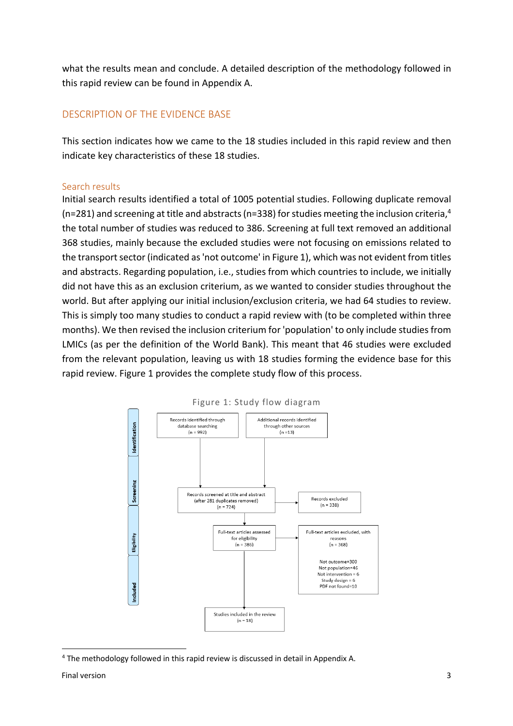what the results mean and conclude. A detailed description of the methodology followed in this rapid review can be found in Appendix A.

## DESCRIPTION OF THE EVIDENCE BASE

This section indicates how we came to the 18 studies included in this rapid review and then indicate key characteristics of these 18 studies.

### Search results

Initial search results identified a total of 1005 potential studies. Following duplicate removal (n=281) and screening at title and abstracts (n=338) for studies meeting the inclusion criteria,<sup>4</sup> the total number of studies was reduced to 386. Screening at full text removed an additional 368 studies, mainly because the excluded studies were not focusing on emissions related to the transport sector (indicated as 'not outcome' in Figure 1), which was not evident from titles and abstracts. Regarding population, i.e., studies from which countries to include, we initially did not have this as an exclusion criterium, as we wanted to consider studies throughout the world. But after applying our initial inclusion/exclusion criteria, we had 64 studies to review. This is simply too many studies to conduct a rapid review with (to be completed within three months). We then revised the inclusion criterium for 'population' to only include studies from LMICs (as per the definition of the World Bank). This meant that 46 studies were excluded from the relevant population, leaving us with 18 studies forming the evidence base for this rapid review. Figure 1 provides the complete study flow of this process.



Figure 1: Study flow diagram

<sup>4</sup> The methodology followed in this rapid review is discussed in detail in Appendix A.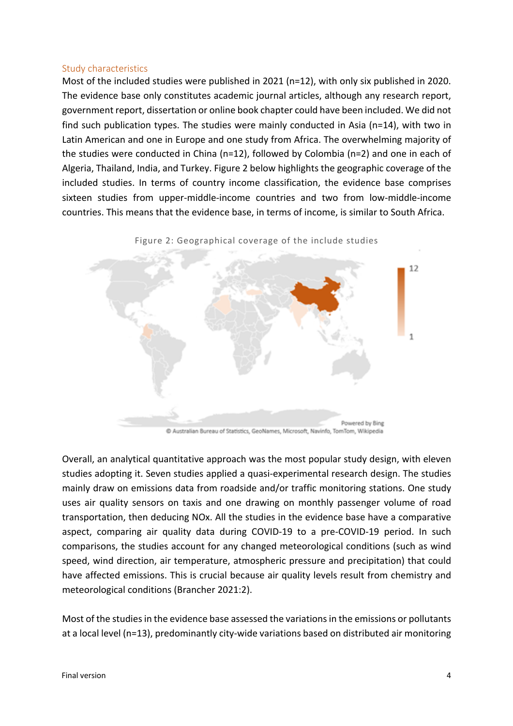#### Study characteristics

Most of the included studies were published in 2021 (n=12), with only six published in 2020. The evidence base only constitutes academic journal articles, although any research report, government report, dissertation or online book chapter could have been included. We did not find such publication types. The studies were mainly conducted in Asia (n=14), with two in Latin American and one in Europe and one study from Africa. The overwhelming majority of the studies were conducted in China (n=12), followed by Colombia (n=2) and one in each of Algeria, Thailand, India, and Turkey. Figure 2 below highlights the geographic coverage of the included studies. In terms of country income classification, the evidence base comprises sixteen studies from upper-middle-income countries and two from low-middle-income countries. This means that the evidence base, in terms of income, is similar to South Africa.



Overall, an analytical quantitative approach was the most popular study design, with eleven studies adopting it. Seven studies applied a quasi-experimental research design. The studies mainly draw on emissions data from roadside and/or traffic monitoring stations. One study uses air quality sensors on taxis and one drawing on monthly passenger volume of road transportation, then deducing NOx. All the studies in the evidence base have a comparative aspect, comparing air quality data during COVID-19 to a pre-COVID-19 period. In such comparisons, the studies account for any changed meteorological conditions (such as wind speed, wind direction, air temperature, atmospheric pressure and precipitation) that could have affected emissions. This is crucial because air quality levels result from chemistry and meteorological conditions (Brancher 2021:2).

Most of the studies in the evidence base assessed the variations in the emissions or pollutants at a local level (n=13), predominantly city-wide variations based on distributed air monitoring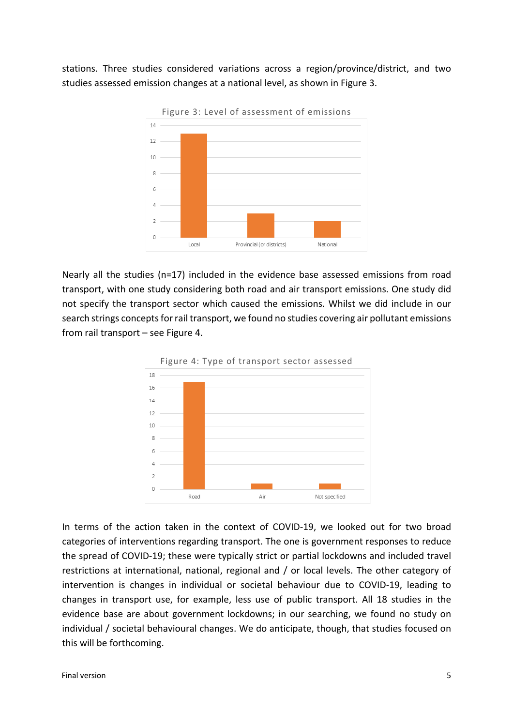stations. Three studies considered variations across a region/province/district, and two studies assessed emission changes at a national level, as shown in Figure 3.



Nearly all the studies (n=17) included in the evidence base assessed emissions from road transport, with one study considering both road and air transport emissions. One study did not specify the transport sector which caused the emissions. Whilst we did include in our search strings concepts for rail transport, we found no studies covering air pollutant emissions from rail transport – see Figure 4.



In terms of the action taken in the context of COVID-19, we looked out for two broad categories of interventions regarding transport. The one is government responses to reduce the spread of COVID-19; these were typically strict or partial lockdowns and included travel restrictions at international, national, regional and / or local levels. The other category of intervention is changes in individual or societal behaviour due to COVID-19, leading to changes in transport use, for example, less use of public transport. All 18 studies in the evidence base are about government lockdowns; in our searching, we found no study on individual / societal behavioural changes. We do anticipate, though, that studies focused on this will be forthcoming.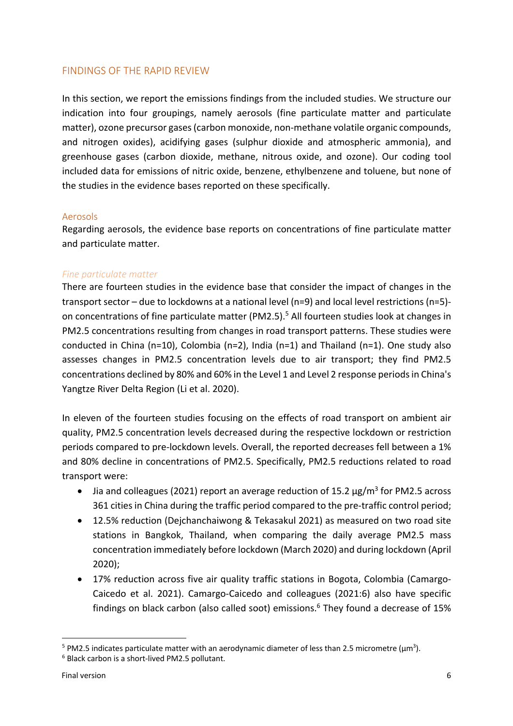## FINDINGS OF THE RAPID REVIEW

In this section, we report the emissions findings from the included studies. We structure our indication into four groupings, namely aerosols (fine particulate matter and particulate matter), ozone precursor gases (carbon monoxide, non-methane volatile organic compounds, and nitrogen oxides), acidifying gases (sulphur dioxide and atmospheric ammonia), and greenhouse gases (carbon dioxide, methane, nitrous oxide, and ozone). Our coding tool included data for emissions of nitric oxide, benzene, ethylbenzene and toluene, but none of the studies in the evidence bases reported on these specifically.

#### Aerosols

Regarding aerosols, the evidence base reports on concentrations of fine particulate matter and particulate matter.

### *Fine particulate matter*

There are fourteen studies in the evidence base that consider the impact of changes in the transport sector – due to lockdowns at a national level (n=9) and local level restrictions (n=5) on concentrations of fine particulate matter (PM2.5).5 All fourteen studies look at changes in PM2.5 concentrations resulting from changes in road transport patterns. These studies were conducted in China (n=10), Colombia (n=2), India (n=1) and Thailand (n=1). One study also assesses changes in PM2.5 concentration levels due to air transport; they find PM2.5 concentrations declined by 80% and 60% in the Level 1 and Level 2 response periods in China's Yangtze River Delta Region (Li et al. 2020).

In eleven of the fourteen studies focusing on the effects of road transport on ambient air quality, PM2.5 concentration levels decreased during the respective lockdown or restriction periods compared to pre-lockdown levels. Overall, the reported decreases fell between a 1% and 80% decline in concentrations of PM2.5. Specifically, PM2.5 reductions related to road transport were:

- Jia and colleagues (2021) report an average reduction of 15.2  $\mu$ g/m<sup>3</sup> for PM2.5 across 361 cities in China during the traffic period compared to the pre-traffic control period;
- 12.5% reduction (Dejchanchaiwong & Tekasakul 2021) as measured on two road site stations in Bangkok, Thailand, when comparing the daily average PM2.5 mass concentration immediately before lockdown (March 2020) and during lockdown (April 2020);
- 17% reduction across five air quality traffic stations in Bogota, Colombia (Camargo-Caicedo et al. 2021). Camargo-Caicedo and colleagues (2021:6) also have specific findings on black carbon (also called soot) emissions.<sup>6</sup> They found a decrease of 15%

<sup>&</sup>lt;sup>5</sup> PM2.5 indicates particulate matter with an aerodynamic diameter of less than 2.5 micrometre ( $\mu$ m<sup>3</sup>).

<sup>6</sup> Black carbon is a short-lived PM2.5 pollutant.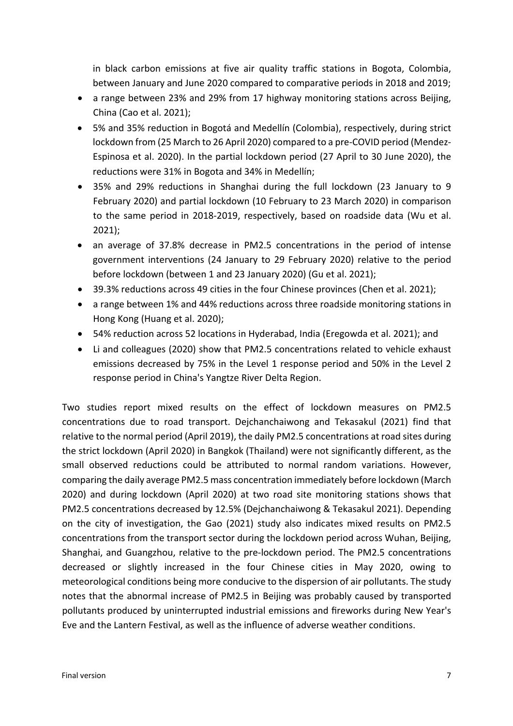in black carbon emissions at five air quality traffic stations in Bogota, Colombia, between January and June 2020 compared to comparative periods in 2018 and 2019;

- a range between 23% and 29% from 17 highway monitoring stations across Beijing, China (Cao et al. 2021);
- 5% and 35% reduction in Bogotá and Medellín (Colombia), respectively, during strict lockdown from (25 March to 26 April 2020) compared to a pre-COVID period (Mendez-Espinosa et al. 2020). In the partial lockdown period (27 April to 30 June 2020), the reductions were 31% in Bogota and 34% in Medellín;
- 35% and 29% reductions in Shanghai during the full lockdown (23 January to 9 February 2020) and partial lockdown (10 February to 23 March 2020) in comparison to the same period in 2018-2019, respectively, based on roadside data (Wu et al. 2021);
- an average of 37.8% decrease in PM2.5 concentrations in the period of intense government interventions (24 January to 29 February 2020) relative to the period before lockdown (between 1 and 23 January 2020) (Gu et al. 2021);
- 39.3% reductions across 49 cities in the four Chinese provinces (Chen et al. 2021);
- a range between 1% and 44% reductions across three roadside monitoring stations in Hong Kong (Huang et al. 2020);
- 54% reduction across 52 locations in Hyderabad, India (Eregowda et al. 2021); and
- Li and colleagues (2020) show that PM2.5 concentrations related to vehicle exhaust emissions decreased by 75% in the Level 1 response period and 50% in the Level 2 response period in China's Yangtze River Delta Region.

Two studies report mixed results on the effect of lockdown measures on PM2.5 concentrations due to road transport. Dejchanchaiwong and Tekasakul (2021) find that relative to the normal period (April 2019), the daily PM2.5 concentrations at road sites during the strict lockdown (April 2020) in Bangkok (Thailand) were not significantly different, as the small observed reductions could be attributed to normal random variations. However, comparing the daily average PM2.5 mass concentration immediately before lockdown (March 2020) and during lockdown (April 2020) at two road site monitoring stations shows that PM2.5 concentrations decreased by 12.5% (Dejchanchaiwong & Tekasakul 2021). Depending on the city of investigation, the Gao (2021) study also indicates mixed results on PM2.5 concentrations from the transport sector during the lockdown period across Wuhan, Beijing, Shanghai, and Guangzhou, relative to the pre-lockdown period. The PM2.5 concentrations decreased or slightly increased in the four Chinese cities in May 2020, owing to meteorological conditions being more conducive to the dispersion of air pollutants. The study notes that the abnormal increase of PM2.5 in Beijing was probably caused by transported pollutants produced by uninterrupted industrial emissions and fireworks during New Year's Eve and the Lantern Festival, as well as the influence of adverse weather conditions.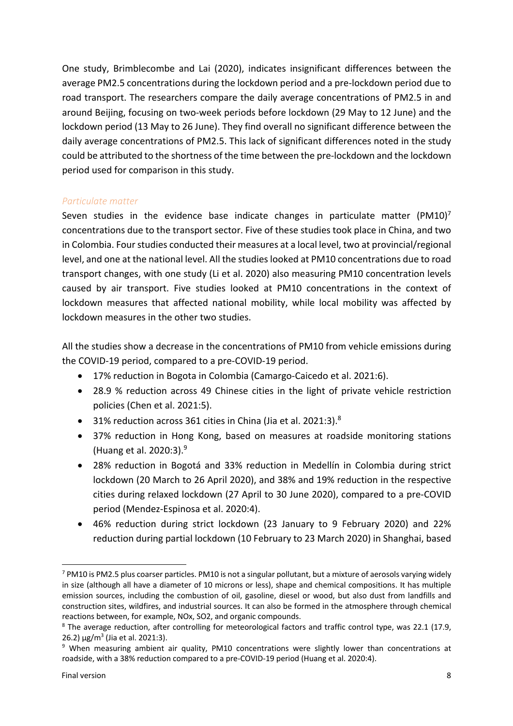One study, Brimblecombe and Lai (2020), indicates insignificant differences between the average PM2.5 concentrations during the lockdown period and a pre-lockdown period due to road transport. The researchers compare the daily average concentrations of PM2.5 in and around Beijing, focusing on two-week periods before lockdown (29 May to 12 June) and the lockdown period (13 May to 26 June). They find overall no significant difference between the daily average concentrations of PM2.5. This lack of significant differences noted in the study could be attributed to the shortness of the time between the pre-lockdown and the lockdown period used for comparison in this study.

### *Particulate matter*

Seven studies in the evidence base indicate changes in particulate matter (PM10)<sup>7</sup> concentrations due to the transport sector. Five of these studies took place in China, and two in Colombia. Four studies conducted their measures at a local level, two at provincial/regional level, and one at the national level. All the studies looked at PM10 concentrations due to road transport changes, with one study (Li et al. 2020) also measuring PM10 concentration levels caused by air transport. Five studies looked at PM10 concentrations in the context of lockdown measures that affected national mobility, while local mobility was affected by lockdown measures in the other two studies.

All the studies show a decrease in the concentrations of PM10 from vehicle emissions during the COVID-19 period, compared to a pre-COVID-19 period.

- 17% reduction in Bogota in Colombia (Camargo-Caicedo et al. 2021:6).
- 28.9 % reduction across 49 Chinese cities in the light of private vehicle restriction policies (Chen et al. 2021:5).
- $\bullet$  31% reduction across 361 cities in China (Jia et al. 2021:3).<sup>8</sup>
- 37% reduction in Hong Kong, based on measures at roadside monitoring stations (Huang et al. 2020:3). 9
- 28% reduction in Bogotá and 33% reduction in Medellín in Colombia during strict lockdown (20 March to 26 April 2020), and 38% and 19% reduction in the respective cities during relaxed lockdown (27 April to 30 June 2020), compared to a pre-COVID period (Mendez-Espinosa et al. 2020:4).
- 46% reduction during strict lockdown (23 January to 9 February 2020) and 22% reduction during partial lockdown (10 February to 23 March 2020) in Shanghai, based

<sup>7</sup> PM10 is PM2.5 plus coarser particles. PM10 is not a singular pollutant, but a mixture of aerosols varying widely in size (although all have a diameter of 10 microns or less), shape and chemical compositions. It has multiple emission sources, including the combustion of oil, gasoline, diesel or wood, but also dust from landfills and construction sites, wildfires, and industrial sources. It can also be formed in the atmosphere through chemical reactions between, for example, NOx, SO2, and organic compounds.

<sup>&</sup>lt;sup>8</sup> The average reduction, after controlling for meteorological factors and traffic control type, was 22.1 (17.9,  $26.2) \mu$ g/m<sup>3</sup> (Jia et al. 2021:3).

<sup>9</sup> When measuring ambient air quality, PM10 concentrations were slightly lower than concentrations at roadside, with a 38% reduction compared to a pre-COVID-19 period (Huang et al. 2020:4).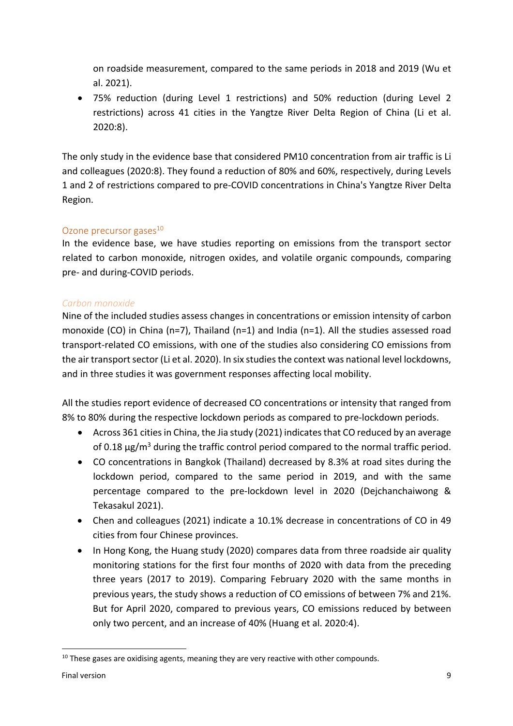on roadside measurement, compared to the same periods in 2018 and 2019 (Wu et al. 2021).

• 75% reduction (during Level 1 restrictions) and 50% reduction (during Level 2 restrictions) across 41 cities in the Yangtze River Delta Region of China (Li et al. 2020:8).

The only study in the evidence base that considered PM10 concentration from air traffic is Li and colleagues (2020:8). They found a reduction of 80% and 60%, respectively, during Levels 1 and 2 of restrictions compared to pre-COVID concentrations in China's Yangtze River Delta Region.

## Ozone precursor gases $10<sup>10</sup>$

In the evidence base, we have studies reporting on emissions from the transport sector related to carbon monoxide, nitrogen oxides, and volatile organic compounds, comparing pre- and during-COVID periods.

## *Carbon monoxide*

Nine of the included studies assess changes in concentrations or emission intensity of carbon monoxide (CO) in China (n=7), Thailand (n=1) and India (n=1). All the studies assessed road transport-related CO emissions, with one of the studies also considering CO emissions from the air transport sector (Li et al. 2020). In six studies the context was national level lockdowns, and in three studies it was government responses affecting local mobility.

All the studies report evidence of decreased CO concentrations or intensity that ranged from 8% to 80% during the respective lockdown periods as compared to pre-lockdown periods.

- Across 361 cities in China, the Jia study (2021) indicates that CO reduced by an average of 0.18 μg/m<sup>3</sup> during the traffic control period compared to the normal traffic period.
- CO concentrations in Bangkok (Thailand) decreased by 8.3% at road sites during the lockdown period, compared to the same period in 2019, and with the same percentage compared to the pre-lockdown level in 2020 (Dejchanchaiwong & Tekasakul 2021).
- Chen and colleagues (2021) indicate a 10.1% decrease in concentrations of CO in 49 cities from four Chinese provinces.
- In Hong Kong, the Huang study (2020) compares data from three roadside air quality monitoring stations for the first four months of 2020 with data from the preceding three years (2017 to 2019). Comparing February 2020 with the same months in previous years, the study shows a reduction of CO emissions of between 7% and 21%. But for April 2020, compared to previous years, CO emissions reduced by between only two percent, and an increase of 40% (Huang et al. 2020:4).

 $10$  These gases are oxidising agents, meaning they are very reactive with other compounds.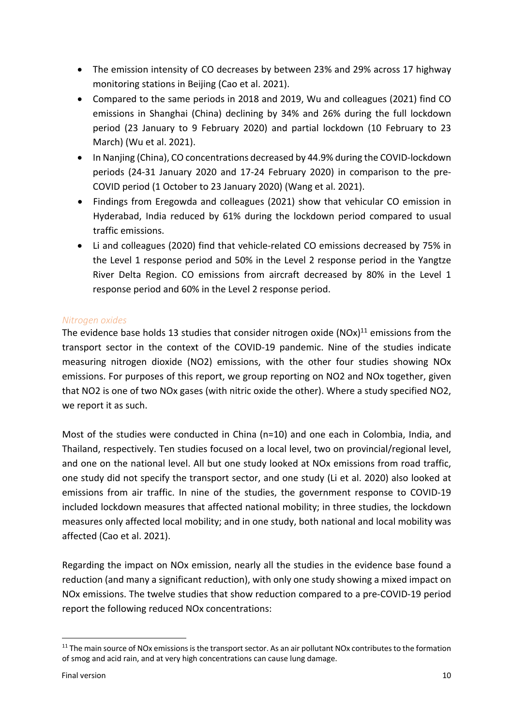- The emission intensity of CO decreases by between 23% and 29% across 17 highway monitoring stations in Beijing (Cao et al. 2021).
- Compared to the same periods in 2018 and 2019, Wu and colleagues (2021) find CO emissions in Shanghai (China) declining by 34% and 26% during the full lockdown period (23 January to 9 February 2020) and partial lockdown (10 February to 23 March) (Wu et al. 2021).
- In Nanjing (China), CO concentrations decreased by 44.9% during the COVID-lockdown periods (24-31 January 2020 and 17-24 February 2020) in comparison to the pre-COVID period (1 October to 23 January 2020) (Wang et al. 2021).
- Findings from Eregowda and colleagues (2021) show that vehicular CO emission in Hyderabad, India reduced by 61% during the lockdown period compared to usual traffic emissions.
- Li and colleagues (2020) find that vehicle-related CO emissions decreased by 75% in the Level 1 response period and 50% in the Level 2 response period in the Yangtze River Delta Region. CO emissions from aircraft decreased by 80% in the Level 1 response period and 60% in the Level 2 response period.

## *Nitrogen oxides*

The evidence base holds 13 studies that consider nitrogen oxide  $(NOx)^{11}$  emissions from the transport sector in the context of the COVID-19 pandemic. Nine of the studies indicate measuring nitrogen dioxide (NO2) emissions, with the other four studies showing NOx emissions. For purposes of this report, we group reporting on NO2 and NOx together, given that NO2 is one of two NOx gases (with nitric oxide the other). Where a study specified NO2, we report it as such.

Most of the studies were conducted in China (n=10) and one each in Colombia, India, and Thailand, respectively. Ten studies focused on a local level, two on provincial/regional level, and one on the national level. All but one study looked at NOx emissions from road traffic, one study did not specify the transport sector, and one study (Li et al. 2020) also looked at emissions from air traffic. In nine of the studies, the government response to COVID-19 included lockdown measures that affected national mobility; in three studies, the lockdown measures only affected local mobility; and in one study, both national and local mobility was affected (Cao et al. 2021).

Regarding the impact on NOx emission, nearly all the studies in the evidence base found a reduction (and many a significant reduction), with only one study showing a mixed impact on NOx emissions. The twelve studies that show reduction compared to a pre-COVID-19 period report the following reduced NOx concentrations:

<sup>&</sup>lt;sup>11</sup> The main source of NOx emissions is the transport sector. As an air pollutant NOx contributes to the formation of smog and acid rain, and at very high concentrations can cause lung damage.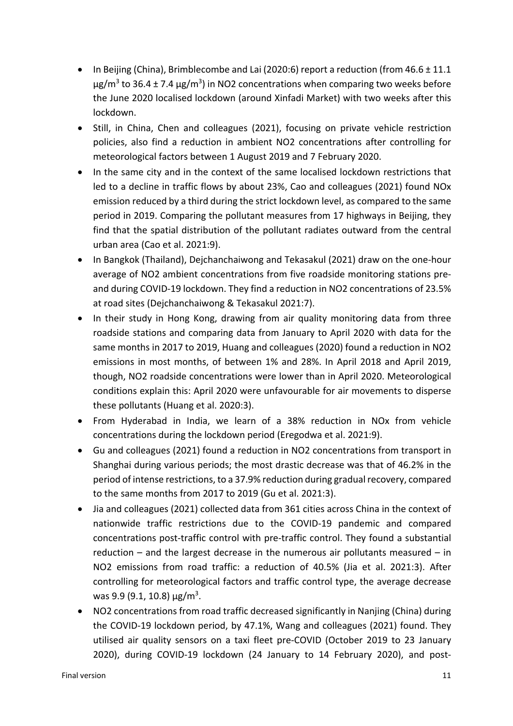- In Beijing (China), Brimblecombe and Lai (2020:6) report a reduction (from 46.6 ± 11.1 μg/m<sup>3</sup> to 36.4 ± 7.4 μg/m<sup>3</sup>) in NO2 concentrations when comparing two weeks before the June 2020 localised lockdown (around Xinfadi Market) with two weeks after this lockdown.
- Still, in China, Chen and colleagues (2021), focusing on private vehicle restriction policies, also find a reduction in ambient NO2 concentrations after controlling for meteorological factors between 1 August 2019 and 7 February 2020.
- In the same city and in the context of the same localised lockdown restrictions that led to a decline in traffic flows by about 23%, Cao and colleagues (2021) found NOx emission reduced by a third during the strict lockdown level, as compared to the same period in 2019. Comparing the pollutant measures from 17 highways in Beijing, they find that the spatial distribution of the pollutant radiates outward from the central urban area (Cao et al. 2021:9).
- In Bangkok (Thailand), Dejchanchaiwong and Tekasakul (2021) draw on the one-hour average of NO2 ambient concentrations from five roadside monitoring stations preand during COVID-19 lockdown. They find a reduction in NO2 concentrations of 23.5% at road sites (Dejchanchaiwong & Tekasakul 2021:7).
- In their study in Hong Kong, drawing from air quality monitoring data from three roadside stations and comparing data from January to April 2020 with data for the same months in 2017 to 2019, Huang and colleagues (2020) found a reduction in NO2 emissions in most months, of between 1% and 28%. In April 2018 and April 2019, though, NO2 roadside concentrations were lower than in April 2020. Meteorological conditions explain this: April 2020 were unfavourable for air movements to disperse these pollutants (Huang et al. 2020:3).
- From Hyderabad in India, we learn of a 38% reduction in NOx from vehicle concentrations during the lockdown period (Eregodwa et al. 2021:9).
- Gu and colleagues (2021) found a reduction in NO2 concentrations from transport in Shanghai during various periods; the most drastic decrease was that of 46.2% in the period of intense restrictions, to a 37.9% reduction during gradual recovery, compared to the same months from 2017 to 2019 (Gu et al. 2021:3).
- Jia and colleagues (2021) collected data from 361 cities across China in the context of nationwide traffic restrictions due to the COVID-19 pandemic and compared concentrations post-traffic control with pre-traffic control. They found a substantial reduction – and the largest decrease in the numerous air pollutants measured – in NO2 emissions from road traffic: a reduction of 40.5% (Jia et al. 2021:3). After controlling for meteorological factors and traffic control type, the average decrease was 9.9 (9.1, 10.8) μg/m<sup>3</sup>.
- NO2 concentrations from road traffic decreased significantly in Nanjing (China) during the COVID-19 lockdown period, by 47.1%, Wang and colleagues (2021) found. They utilised air quality sensors on a taxi fleet pre-COVID (October 2019 to 23 January 2020), during COVID-19 lockdown (24 January to 14 February 2020), and post-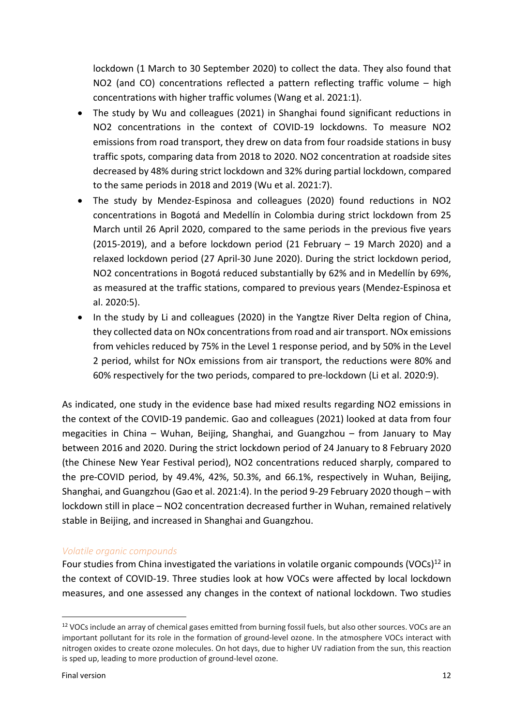lockdown (1 March to 30 September 2020) to collect the data. They also found that NO2 (and CO) concentrations reflected a pattern reflecting traffic volume – high concentrations with higher traffic volumes (Wang et al. 2021:1).

- The study by Wu and colleagues (2021) in Shanghai found significant reductions in NO2 concentrations in the context of COVID-19 lockdowns. To measure NO2 emissions from road transport, they drew on data from four roadside stations in busy traffic spots, comparing data from 2018 to 2020. NO2 concentration at roadside sites decreased by 48% during strict lockdown and 32% during partial lockdown, compared to the same periods in 2018 and 2019 (Wu et al. 2021:7).
- The study by Mendez-Espinosa and colleagues (2020) found reductions in NO2 concentrations in Bogotá and Medellín in Colombia during strict lockdown from 25 March until 26 April 2020, compared to the same periods in the previous five years (2015-2019), and a before lockdown period (21 February – 19 March 2020) and a relaxed lockdown period (27 April-30 June 2020). During the strict lockdown period, NO2 concentrations in Bogotá reduced substantially by 62% and in Medellín by 69%, as measured at the traffic stations, compared to previous years (Mendez-Espinosa et al. 2020:5).
- In the study by Li and colleagues (2020) in the Yangtze River Delta region of China, they collected data on NOx concentrations from road and air transport. NOx emissions from vehicles reduced by 75% in the Level 1 response period, and by 50% in the Level 2 period, whilst for NOx emissions from air transport, the reductions were 80% and 60% respectively for the two periods, compared to pre-lockdown (Li et al. 2020:9).

As indicated, one study in the evidence base had mixed results regarding NO2 emissions in the context of the COVID-19 pandemic. Gao and colleagues (2021) looked at data from four megacities in China – Wuhan, Beijing, Shanghai, and Guangzhou – from January to May between 2016 and 2020. During the strict lockdown period of 24 January to 8 February 2020 (the Chinese New Year Festival period), NO2 concentrations reduced sharply, compared to the pre-COVID period, by 49.4%, 42%, 50.3%, and 66.1%, respectively in Wuhan, Beijing, Shanghai, and Guangzhou (Gao et al. 2021:4). In the period 9-29 February 2020 though – with lockdown still in place – NO2 concentration decreased further in Wuhan, remained relatively stable in Beijing, and increased in Shanghai and Guangzhou.

#### *Volatile organic compounds*

Four studies from China investigated the variations in volatile organic compounds (VOCs)<sup>12</sup> in the context of COVID-19. Three studies look at how VOCs were affected by local lockdown measures, and one assessed any changes in the context of national lockdown. Two studies

<sup>&</sup>lt;sup>12</sup> VOCs include an array of chemical gases emitted from burning fossil fuels, but also other sources. VOCs are an important pollutant for its role in the formation of ground-level ozone. In the atmosphere VOCs interact with nitrogen oxides to create ozone molecules. On hot days, due to higher UV radiation from the sun, this reaction is sped up, leading to more production of ground-level ozone.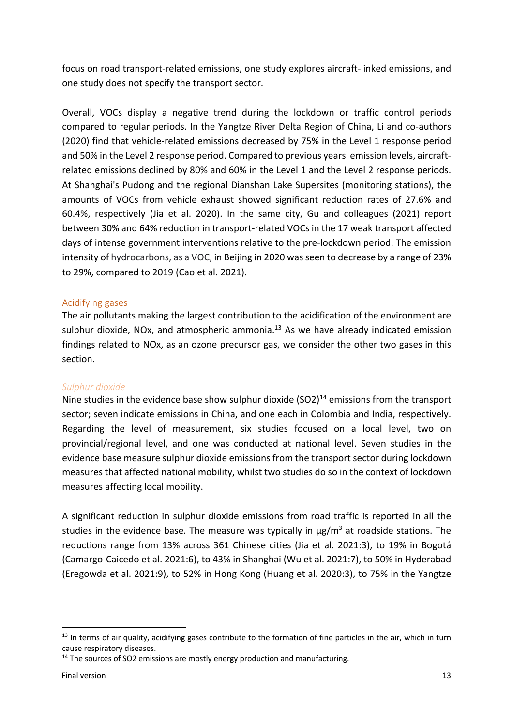focus on road transport-related emissions, one study explores aircraft-linked emissions, and one study does not specify the transport sector.

Overall, VOCs display a negative trend during the lockdown or traffic control periods compared to regular periods. In the Yangtze River Delta Region of China, Li and co-authors (2020) find that vehicle-related emissions decreased by 75% in the Level 1 response period and 50% in the Level 2 response period. Compared to previous years' emission levels, aircraftrelated emissions declined by 80% and 60% in the Level 1 and the Level 2 response periods. At Shanghai's Pudong and the regional Dianshan Lake Supersites (monitoring stations), the amounts of VOCs from vehicle exhaust showed significant reduction rates of 27.6% and 60.4%, respectively (Jia et al. 2020). In the same city, Gu and colleagues (2021) report between 30% and 64% reduction in transport-related VOCs in the 17 weak transport affected days of intense government interventions relative to the pre-lockdown period. The emission intensity of hydrocarbons, as a VOC, in Beijing in 2020 was seen to decrease by a range of 23% to 29%, compared to 2019 (Cao et al. 2021).

#### Acidifying gases

The air pollutants making the largest contribution to the acidification of the environment are sulphur dioxide, NOx, and atmospheric ammonia. $^{13}$  As we have already indicated emission findings related to NOx, as an ozone precursor gas, we consider the other two gases in this section.

#### *Sulphur dioxide*

Nine studies in the evidence base show sulphur dioxide  $(SO2)^{14}$  emissions from the transport sector; seven indicate emissions in China, and one each in Colombia and India, respectively. Regarding the level of measurement, six studies focused on a local level, two on provincial/regional level, and one was conducted at national level. Seven studies in the evidence base measure sulphur dioxide emissions from the transport sector during lockdown measures that affected national mobility, whilst two studies do so in the context of lockdown measures affecting local mobility.

A significant reduction in sulphur dioxide emissions from road traffic is reported in all the studies in the evidence base. The measure was typically in  $\mu$ g/m<sup>3</sup> at roadside stations. The reductions range from 13% across 361 Chinese cities (Jia et al. 2021:3), to 19% in Bogotá (Camargo-Caicedo et al. 2021:6), to 43% in Shanghai (Wu et al. 2021:7), to 50% in Hyderabad (Eregowda et al. 2021:9), to 52% in Hong Kong (Huang et al. 2020:3), to 75% in the Yangtze

<sup>&</sup>lt;sup>13</sup> In terms of air quality, acidifying gases contribute to the formation of fine particles in the air, which in turn cause respiratory diseases.

<sup>&</sup>lt;sup>14</sup> The sources of SO2 emissions are mostly energy production and manufacturing.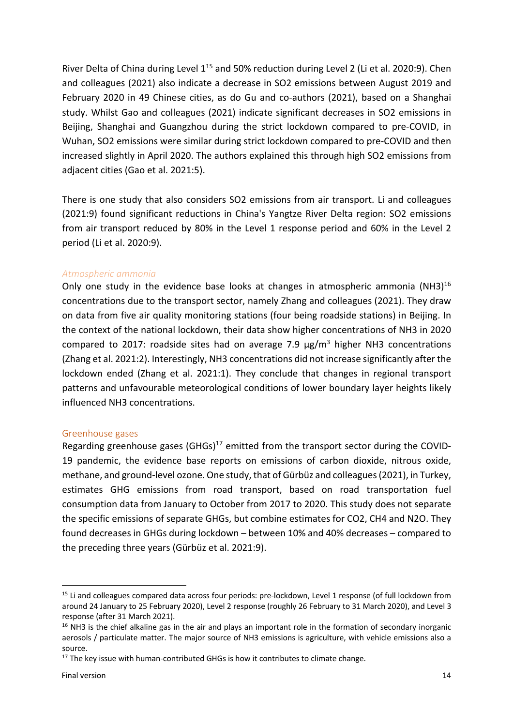River Delta of China during Level 1<sup>15</sup> and 50% reduction during Level 2 (Li et al. 2020:9). Chen and colleagues (2021) also indicate a decrease in SO2 emissions between August 2019 and February 2020 in 49 Chinese cities, as do Gu and co-authors (2021), based on a Shanghai study. Whilst Gao and colleagues (2021) indicate significant decreases in SO2 emissions in Beijing, Shanghai and Guangzhou during the strict lockdown compared to pre-COVID, in Wuhan, SO2 emissions were similar during strict lockdown compared to pre-COVID and then increased slightly in April 2020. The authors explained this through high SO2 emissions from adjacent cities (Gao et al. 2021:5).

There is one study that also considers SO2 emissions from air transport. Li and colleagues (2021:9) found significant reductions in China's Yangtze River Delta region: SO2 emissions from air transport reduced by 80% in the Level 1 response period and 60% in the Level 2 period (Li et al. 2020:9).

#### *Atmospheric ammonia*

Only one study in the evidence base looks at changes in atmospheric ammonia  $(NH3)^{16}$ concentrations due to the transport sector, namely Zhang and colleagues (2021). They draw on data from five air quality monitoring stations (four being roadside stations) in Beijing. In the context of the national lockdown, their data show higher concentrations of NH3 in 2020 compared to 2017: roadside sites had on average 7.9  $\mu$ g/m<sup>3</sup> higher NH3 concentrations (Zhang et al. 2021:2). Interestingly, NH3 concentrations did not increase significantly after the lockdown ended (Zhang et al. 2021:1). They conclude that changes in regional transport patterns and unfavourable meteorological conditions of lower boundary layer heights likely influenced NH3 concentrations.

#### Greenhouse gases

Regarding greenhouse gases  $(GHGs)^{17}$  emitted from the transport sector during the COVID-19 pandemic, the evidence base reports on emissions of carbon dioxide, nitrous oxide, methane, and ground-level ozone. One study, that of Gürbüz and colleagues (2021), in Turkey, estimates GHG emissions from road transport, based on road transportation fuel consumption data from January to October from 2017 to 2020. This study does not separate the specific emissions of separate GHGs, but combine estimates for CO2, CH4 and N2O. They found decreases in GHGs during lockdown – between 10% and 40% decreases – compared to the preceding three years (Gürbüz et al. 2021:9).

<sup>&</sup>lt;sup>15</sup> Li and colleagues compared data across four periods: pre-lockdown, Level 1 response (of full lockdown from around 24 January to 25 February 2020), Level 2 response (roughly 26 February to 31 March 2020), and Level 3 response (after 31 March 2021).

<sup>&</sup>lt;sup>16</sup> NH3 is the chief alkaline gas in the air and plays an important role in the formation of secondary inorganic aerosols / particulate matter. The major source of NH3 emissions is agriculture, with vehicle emissions also a source.

 $17$  The key issue with human-contributed GHGs is how it contributes to climate change.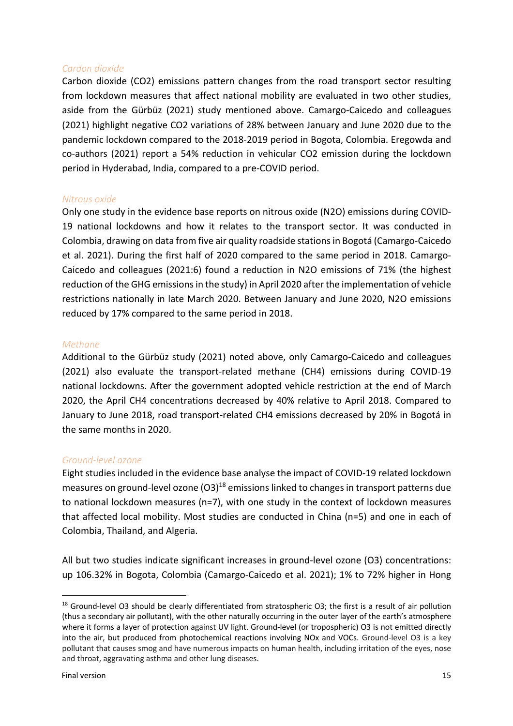#### *Cardon dioxide*

Carbon dioxide (CO2) emissions pattern changes from the road transport sector resulting from lockdown measures that affect national mobility are evaluated in two other studies, aside from the Gürbüz (2021) study mentioned above. Camargo-Caicedo and colleagues (2021) highlight negative CO2 variations of 28% between January and June 2020 due to the pandemic lockdown compared to the 2018-2019 period in Bogota, Colombia. Eregowda and co-authors (2021) report a 54% reduction in vehicular CO2 emission during the lockdown period in Hyderabad, India, compared to a pre-COVID period.

#### *Nitrous oxide*

Only one study in the evidence base reports on nitrous oxide (N2O) emissions during COVID-19 national lockdowns and how it relates to the transport sector. It was conducted in Colombia, drawing on data from five air quality roadside stationsin Bogotá (Camargo-Caicedo et al. 2021). During the first half of 2020 compared to the same period in 2018. Camargo-Caicedo and colleagues (2021:6) found a reduction in N2O emissions of 71% (the highest reduction of the GHG emissions in the study) in April 2020 after the implementation of vehicle restrictions nationally in late March 2020. Between January and June 2020, N2O emissions reduced by 17% compared to the same period in 2018.

#### *Methane*

Additional to the Gürbüz study (2021) noted above, only Camargo-Caicedo and colleagues (2021) also evaluate the transport-related methane (CH4) emissions during COVID-19 national lockdowns. After the government adopted vehicle restriction at the end of March 2020, the April CH4 concentrations decreased by 40% relative to April 2018. Compared to January to June 2018, road transport-related CH4 emissions decreased by 20% in Bogotá in the same months in 2020.

#### *Ground-level ozone*

Eight studies included in the evidence base analyse the impact of COVID-19 related lockdown measures on ground-level ozone (O3)18 emissions linked to changes in transport patterns due to national lockdown measures (n=7), with one study in the context of lockdown measures that affected local mobility. Most studies are conducted in China (n=5) and one in each of Colombia, Thailand, and Algeria.

All but two studies indicate significant increases in ground-level ozone (O3) concentrations: up 106.32% in Bogota, Colombia (Camargo-Caicedo et al. 2021); 1% to 72% higher in Hong

 $18$  Ground-level O3 should be clearly differentiated from stratospheric O3; the first is a result of air pollution (thus a secondary air pollutant), with the other naturally occurring in the outer layer of the earth's atmosphere where it forms a layer of protection against UV light. Ground-level (or tropospheric) O3 is not emitted directly into the air, but produced from photochemical reactions involving NOx and VOCs. Ground-level O3 is a key pollutant that causes smog and have numerous impacts on human health, including irritation of the eyes, nose and throat, aggravating asthma and other lung diseases.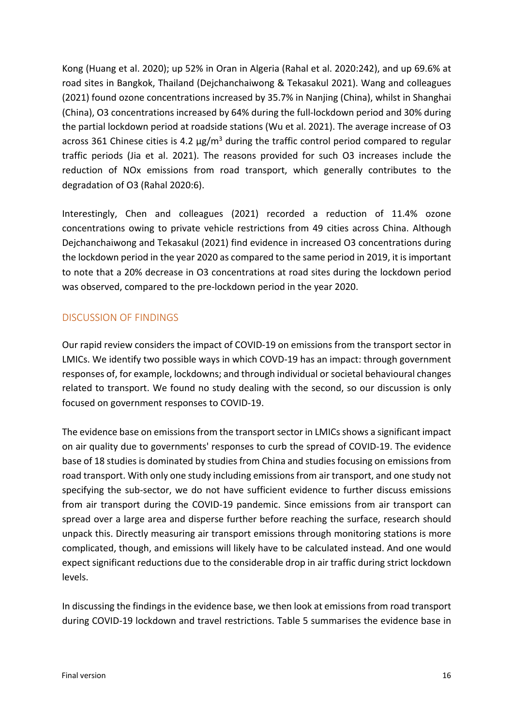Kong (Huang et al. 2020); up 52% in Oran in Algeria (Rahal et al. 2020:242), and up 69.6% at road sites in Bangkok, Thailand (Dejchanchaiwong & Tekasakul 2021). Wang and colleagues (2021) found ozone concentrations increased by 35.7% in Nanjing (China), whilst in Shanghai (China), O3 concentrations increased by 64% during the full-lockdown period and 30% during the partial lockdown period at roadside stations (Wu et al. 2021). The average increase of O3 across 361 Chinese cities is 4.2  $\mu$ g/m<sup>3</sup> during the traffic control period compared to regular traffic periods (Jia et al. 2021). The reasons provided for such O3 increases include the reduction of NOx emissions from road transport, which generally contributes to the degradation of O3 (Rahal 2020:6).

Interestingly, Chen and colleagues (2021) recorded a reduction of 11.4% ozone concentrations owing to private vehicle restrictions from 49 cities across China. Although Dejchanchaiwong and Tekasakul (2021) find evidence in increased O3 concentrations during the lockdown period in the year 2020 as compared to the same period in 2019, it is important to note that a 20% decrease in O3 concentrations at road sites during the lockdown period was observed, compared to the pre-lockdown period in the year 2020.

## DISCUSSION OF FINDINGS

Our rapid review considers the impact of COVID-19 on emissions from the transport sector in LMICs. We identify two possible ways in which COVD-19 has an impact: through government responses of, for example, lockdowns; and through individual or societal behavioural changes related to transport. We found no study dealing with the second, so our discussion is only focused on government responses to COVID-19.

The evidence base on emissions from the transport sector in LMICs shows a significant impact on air quality due to governments' responses to curb the spread of COVID-19. The evidence base of 18 studies is dominated by studies from China and studies focusing on emissions from road transport. With only one study including emissions from air transport, and one study not specifying the sub-sector, we do not have sufficient evidence to further discuss emissions from air transport during the COVID-19 pandemic. Since emissions from air transport can spread over a large area and disperse further before reaching the surface, research should unpack this. Directly measuring air transport emissions through monitoring stations is more complicated, though, and emissions will likely have to be calculated instead. And one would expect significant reductions due to the considerable drop in air traffic during strict lockdown levels.

In discussing the findings in the evidence base, we then look at emissions from road transport during COVID-19 lockdown and travel restrictions. Table 5 summarises the evidence base in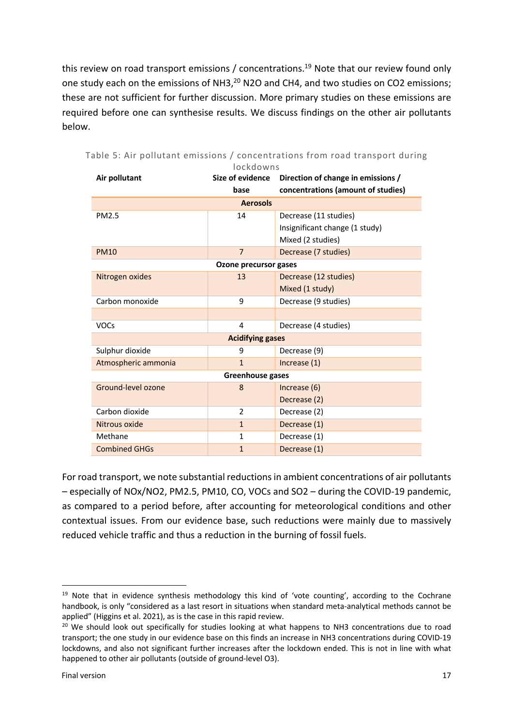this review on road transport emissions / concentrations.<sup>19</sup> Note that our review found only one study each on the emissions of NH3,<sup>20</sup> N2O and CH4, and two studies on CO2 emissions; these are not sufficient for further discussion. More primary studies on these emissions are required before one can synthesise results. We discuss findings on the other air pollutants below.

| Air pollutant           | <u>IOCKOOWNS</u><br>Size of evidence | Direction of change in emissions / |  |  |  |  |  |
|-------------------------|--------------------------------------|------------------------------------|--|--|--|--|--|
|                         | base                                 | concentrations (amount of studies) |  |  |  |  |  |
| <b>Aerosols</b>         |                                      |                                    |  |  |  |  |  |
| PM2.5                   | 14                                   | Decrease (11 studies)              |  |  |  |  |  |
|                         |                                      | Insignificant change (1 study)     |  |  |  |  |  |
|                         |                                      | Mixed (2 studies)                  |  |  |  |  |  |
| <b>PM10</b>             | $\overline{7}$                       | Decrease (7 studies)               |  |  |  |  |  |
|                         | Ozone precursor gases                |                                    |  |  |  |  |  |
| Nitrogen oxides         | 13                                   | Decrease (12 studies)              |  |  |  |  |  |
|                         |                                      | Mixed (1 study)                    |  |  |  |  |  |
| Carbon monoxide         | 9                                    | Decrease (9 studies)               |  |  |  |  |  |
|                         |                                      |                                    |  |  |  |  |  |
| <b>VOCs</b>             | 4                                    | Decrease (4 studies)               |  |  |  |  |  |
| <b>Acidifying gases</b> |                                      |                                    |  |  |  |  |  |
| Sulphur dioxide         | 9                                    | Decrease (9)                       |  |  |  |  |  |
| Atmospheric ammonia     | $\mathbf{1}$                         | Increase $(1)$                     |  |  |  |  |  |
|                         | <b>Greenhouse gases</b>              |                                    |  |  |  |  |  |
| Ground-level ozone      | 8                                    | Increase (6)                       |  |  |  |  |  |
|                         |                                      | Decrease (2)                       |  |  |  |  |  |
| Carbon dioxide          | 2                                    | Decrease (2)                       |  |  |  |  |  |
| Nitrous oxide           | $\mathbf{1}$                         | Decrease (1)                       |  |  |  |  |  |
| Methane                 | $\mathbf{1}$                         | Decrease (1)                       |  |  |  |  |  |
| <b>Combined GHGs</b>    | $\mathbf{1}$                         | Decrease (1)                       |  |  |  |  |  |

|  |  | Table 5: Air pollutant emissions / concentrations from road transport during |  |  |
|--|--|------------------------------------------------------------------------------|--|--|
|  |  |                                                                              |  |  |

For road transport, we note substantial reductions in ambient concentrations of air pollutants – especially of NOx/NO2, PM2.5, PM10, CO, VOCs and SO2 – during the COVID-19 pandemic, as compared to a period before, after accounting for meteorological conditions and other contextual issues. From our evidence base, such reductions were mainly due to massively reduced vehicle traffic and thus a reduction in the burning of fossil fuels.

<sup>&</sup>lt;sup>19</sup> Note that in evidence synthesis methodology this kind of 'vote counting', according to the Cochrane handbook, is only "considered as a last resort in situations when standard meta-analytical methods cannot be applied" (Higgins et al. 2021), as is the case in this rapid review.

<sup>&</sup>lt;sup>20</sup> We should look out specifically for studies looking at what happens to NH3 concentrations due to road transport; the one study in our evidence base on this finds an increase in NH3 concentrations during COVID-19 lockdowns, and also not significant further increases after the lockdown ended. This is not in line with what happened to other air pollutants (outside of ground-level O3).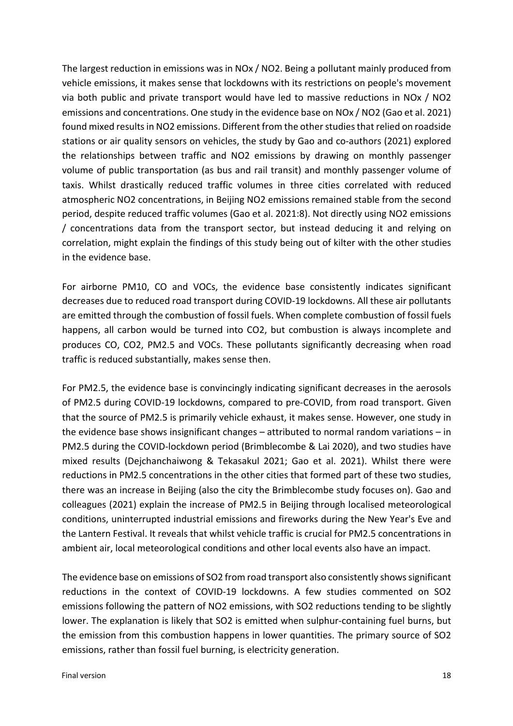The largest reduction in emissions was in NOx / NO2. Being a pollutant mainly produced from vehicle emissions, it makes sense that lockdowns with its restrictions on people's movement via both public and private transport would have led to massive reductions in NOx / NO2 emissions and concentrations. One study in the evidence base on NOx / NO2 (Gao et al. 2021) found mixed results in NO2 emissions. Different from the other studies that relied on roadside stations or air quality sensors on vehicles, the study by Gao and co-authors (2021) explored the relationships between traffic and NO2 emissions by drawing on monthly passenger volume of public transportation (as bus and rail transit) and monthly passenger volume of taxis. Whilst drastically reduced traffic volumes in three cities correlated with reduced atmospheric NO2 concentrations, in Beijing NO2 emissions remained stable from the second period, despite reduced traffic volumes (Gao et al. 2021:8). Not directly using NO2 emissions / concentrations data from the transport sector, but instead deducing it and relying on correlation, might explain the findings of this study being out of kilter with the other studies in the evidence base.

For airborne PM10, CO and VOCs, the evidence base consistently indicates significant decreases due to reduced road transport during COVID-19 lockdowns. All these air pollutants are emitted through the combustion of fossil fuels. When complete combustion of fossil fuels happens, all carbon would be turned into CO2, but combustion is always incomplete and produces CO, CO2, PM2.5 and VOCs. These pollutants significantly decreasing when road traffic is reduced substantially, makes sense then.

For PM2.5, the evidence base is convincingly indicating significant decreases in the aerosols of PM2.5 during COVID-19 lockdowns, compared to pre-COVID, from road transport. Given that the source of PM2.5 is primarily vehicle exhaust, it makes sense. However, one study in the evidence base shows insignificant changes – attributed to normal random variations – in PM2.5 during the COVID-lockdown period (Brimblecombe & Lai 2020), and two studies have mixed results (Dejchanchaiwong & Tekasakul 2021; Gao et al. 2021). Whilst there were reductions in PM2.5 concentrations in the other cities that formed part of these two studies, there was an increase in Beijing (also the city the Brimblecombe study focuses on). Gao and colleagues (2021) explain the increase of PM2.5 in Beijing through localised meteorological conditions, uninterrupted industrial emissions and fireworks during the New Year's Eve and the Lantern Festival. It reveals that whilst vehicle traffic is crucial for PM2.5 concentrations in ambient air, local meteorological conditions and other local events also have an impact.

The evidence base on emissions of SO2 from road transport also consistently shows significant reductions in the context of COVID-19 lockdowns. A few studies commented on SO2 emissions following the pattern of NO2 emissions, with SO2 reductions tending to be slightly lower. The explanation is likely that SO2 is emitted when sulphur-containing fuel burns, but the emission from this combustion happens in lower quantities. The primary source of SO2 emissions, rather than fossil fuel burning, is electricity generation.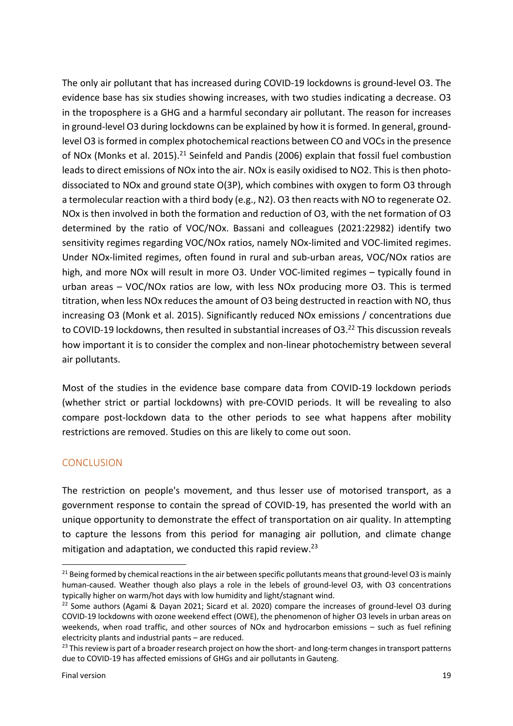The only air pollutant that has increased during COVID-19 lockdowns is ground-level O3. The evidence base has six studies showing increases, with two studies indicating a decrease. O3 in the troposphere is a GHG and a harmful secondary air pollutant. The reason for increases in ground-level O3 during lockdowns can be explained by how it is formed. In general, groundlevel O3 is formed in complex photochemical reactions between CO and VOCs in the presence of NOx (Monks et al. 2015).<sup>21</sup> Seinfeld and Pandis (2006) explain that fossil fuel combustion leads to direct emissions of NOx into the air. NOx is easily oxidised to NO2. This is then photodissociated to NOx and ground state O(3P), which combines with oxygen to form O3 through a termolecular reaction with a third body (e.g., N2). O3 then reacts with NO to regenerate O2. NOx is then involved in both the formation and reduction of O3, with the net formation of O3 determined by the ratio of VOC/NOx. Bassani and colleagues (2021:22982) identify two sensitivity regimes regarding VOC/NOx ratios, namely NOx-limited and VOC-limited regimes. Under NOx-limited regimes, often found in rural and sub-urban areas, VOC/NOx ratios are high, and more NOx will result in more O3. Under VOC-limited regimes – typically found in urban areas – VOC/NOx ratios are low, with less NOx producing more O3. This is termed titration, when less NOx reduces the amount of O3 being destructed in reaction with NO, thus increasing O3 (Monk et al. 2015). Significantly reduced NOx emissions / concentrations due to COVID-19 lockdowns, then resulted in substantial increases of O3.<sup>22</sup> This discussion reveals how important it is to consider the complex and non-linear photochemistry between several air pollutants.

Most of the studies in the evidence base compare data from COVID-19 lockdown periods (whether strict or partial lockdowns) with pre-COVID periods. It will be revealing to also compare post-lockdown data to the other periods to see what happens after mobility restrictions are removed. Studies on this are likely to come out soon.

## **CONCLUSION**

The restriction on people's movement, and thus lesser use of motorised transport, as a government response to contain the spread of COVID-19, has presented the world with an unique opportunity to demonstrate the effect of transportation on air quality. In attempting to capture the lessons from this period for managing air pollution, and climate change mitigation and adaptation, we conducted this rapid review.<sup>23</sup>

<sup>&</sup>lt;sup>21</sup> Being formed by chemical reactions in the air between specific pollutants means that ground-level O3 is mainly human-caused. Weather though also plays a role in the lebels of ground-level O3, with O3 concentrations typically higher on warm/hot days with low humidity and light/stagnant wind.

<sup>&</sup>lt;sup>22</sup> Some authors (Agami & Dayan 2021; Sicard et al. 2020) compare the increases of ground-level O3 during COVID-19 lockdowns with ozone weekend effect (OWE), the phenomenon of higher O3 levels in urban areas on weekends, when road traffic, and other sources of NOx and hydrocarbon emissions – such as fuel refining electricity plants and industrial pants – are reduced.

 $23$  This review is part of a broader research project on how the short- and long-term changes in transport patterns due to COVID-19 has affected emissions of GHGs and air pollutants in Gauteng.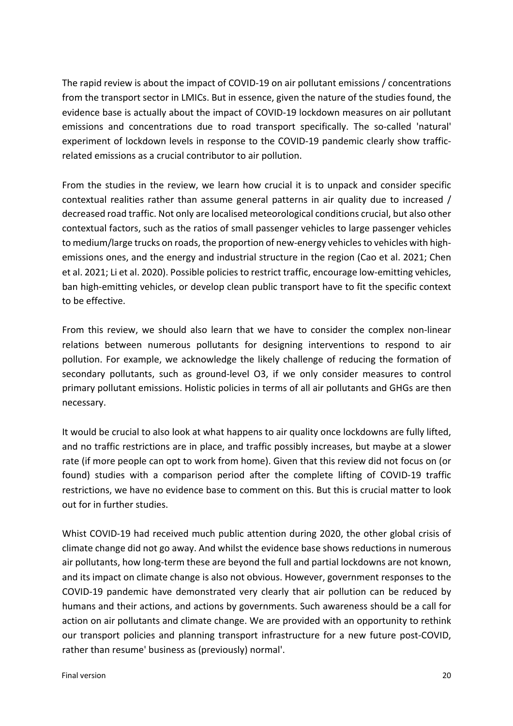The rapid review is about the impact of COVID-19 on air pollutant emissions / concentrations from the transport sector in LMICs. But in essence, given the nature of the studies found, the evidence base is actually about the impact of COVID-19 lockdown measures on air pollutant emissions and concentrations due to road transport specifically. The so-called 'natural' experiment of lockdown levels in response to the COVID-19 pandemic clearly show trafficrelated emissions as a crucial contributor to air pollution.

From the studies in the review, we learn how crucial it is to unpack and consider specific contextual realities rather than assume general patterns in air quality due to increased / decreased road traffic. Not only are localised meteorological conditions crucial, but also other contextual factors, such as the ratios of small passenger vehicles to large passenger vehicles to medium/large trucks on roads, the proportion of new-energy vehicles to vehicles with highemissions ones, and the energy and industrial structure in the region (Cao et al. 2021; Chen et al. 2021; Li et al. 2020). Possible policies to restrict traffic, encourage low-emitting vehicles, ban high-emitting vehicles, or develop clean public transport have to fit the specific context to be effective.

From this review, we should also learn that we have to consider the complex non-linear relations between numerous pollutants for designing interventions to respond to air pollution. For example, we acknowledge the likely challenge of reducing the formation of secondary pollutants, such as ground-level O3, if we only consider measures to control primary pollutant emissions. Holistic policies in terms of all air pollutants and GHGs are then necessary.

It would be crucial to also look at what happens to air quality once lockdowns are fully lifted, and no traffic restrictions are in place, and traffic possibly increases, but maybe at a slower rate (if more people can opt to work from home). Given that this review did not focus on (or found) studies with a comparison period after the complete lifting of COVID-19 traffic restrictions, we have no evidence base to comment on this. But this is crucial matter to look out for in further studies.

Whist COVID-19 had received much public attention during 2020, the other global crisis of climate change did not go away. And whilst the evidence base shows reductions in numerous air pollutants, how long-term these are beyond the full and partial lockdowns are not known, and its impact on climate change is also not obvious. However, government responses to the COVID-19 pandemic have demonstrated very clearly that air pollution can be reduced by humans and their actions, and actions by governments. Such awareness should be a call for action on air pollutants and climate change. We are provided with an opportunity to rethink our transport policies and planning transport infrastructure for a new future post-COVID, rather than resume' business as (previously) normal'.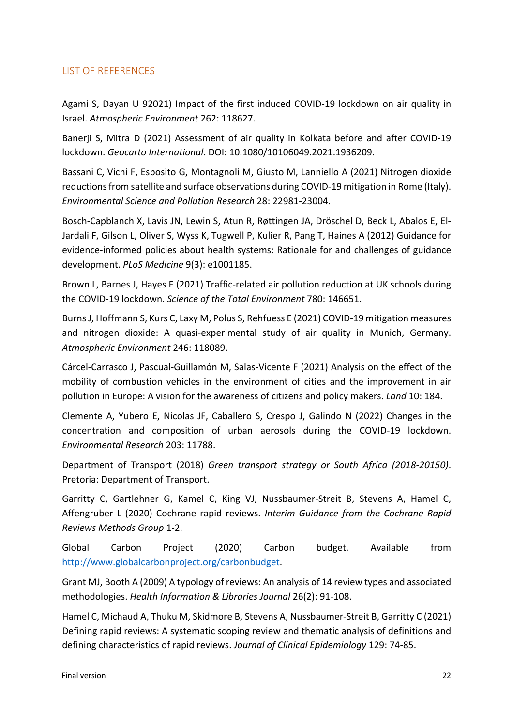## LIST OF REFERENCES

Agami S, Dayan U 92021) Impact of the first induced COVID-19 lockdown on air quality in Israel. *Atmospheric Environment* 262: 118627.

Banerji S, Mitra D (2021) Assessment of air quality in Kolkata before and after COVID-19 lockdown. *Geocarto International*. DOI: 10.1080/10106049.2021.1936209.

Bassani C, Vichi F, Esposito G, Montagnoli M, Giusto M, Lanniello A (2021) Nitrogen dioxide reductions from satellite and surface observations during COVID-19 mitigation in Rome (Italy). *Environmental Science and Pollution Research* 28: 22981-23004.

Bosch-Capblanch X, Lavis JN, Lewin S, Atun R, Røttingen JA, Dröschel D, Beck L, Abalos E, El-Jardali F, Gilson L, Oliver S, Wyss K, Tugwell P, Kulier R, Pang T, Haines A (2012) Guidance for evidence-informed policies about health systems: Rationale for and challenges of guidance development. *PLoS Medicine* 9(3): e1001185.

Brown L, Barnes J, Hayes E (2021) Traffic-related air pollution reduction at UK schools during the COVID-19 lockdown. *Science of the Total Environment* 780: 146651.

Burns J, Hoffmann S, Kurs C, Laxy M, Polus S, Rehfuess E (2021) COVID-19 mitigation measures and nitrogen dioxide: A quasi-experimental study of air quality in Munich, Germany. *Atmospheric Environment* 246: 118089.

Cárcel-Carrasco J, Pascual-Guillamón M, Salas-Vicente F (2021) Analysis on the effect of the mobility of combustion vehicles in the environment of cities and the improvement in air pollution in Europe: A vision for the awareness of citizens and policy makers. *Land* 10: 184.

Clemente A, Yubero E, Nicolas JF, Caballero S, Crespo J, Galindo N (2022) Changes in the concentration and composition of urban aerosols during the COVID-19 lockdown. *Environmental Research* 203: 11788.

Department of Transport (2018) *Green transport strategy or South Africa (2018-20150)*. Pretoria: Department of Transport.

Garritty C, Gartlehner G, Kamel C, King VJ, Nussbaumer-Streit B, Stevens A, Hamel C, Affengruber L (2020) Cochrane rapid reviews. *Interim Guidance from the Cochrane Rapid Reviews Methods Group* 1-2.

Global Carbon Project (2020) Carbon budget. Available from http://www.globalcarbonproject.org/carbonbudget.

Grant MJ, Booth A (2009) A typology of reviews: An analysis of 14 review types and associated methodologies. *Health Information & Libraries Journal* 26(2): 91-108.

Hamel C, Michaud A, Thuku M, Skidmore B, Stevens A, Nussbaumer-Streit B, Garritty C (2021) Defining rapid reviews: A systematic scoping review and thematic analysis of definitions and defining characteristics of rapid reviews. *Journal of Clinical Epidemiology* 129: 74-85.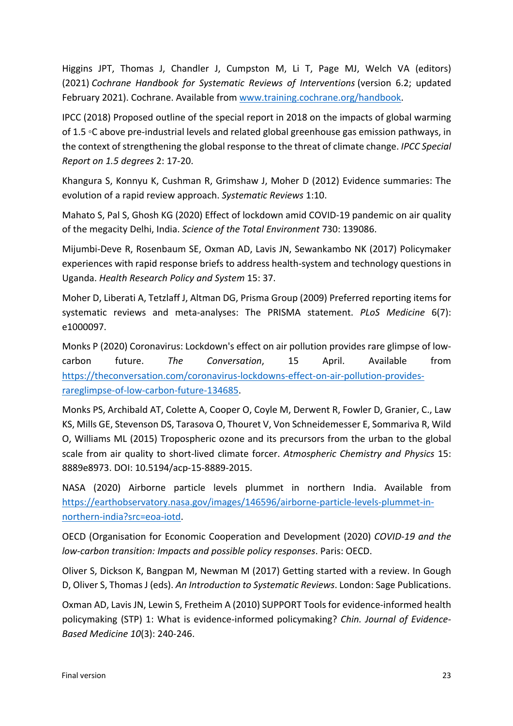Higgins JPT, Thomas J, Chandler J, Cumpston M, Li T, Page MJ, Welch VA (editors) (2021) *Cochrane Handbook for Systematic Reviews of Interventions* (version 6.2; updated February 2021). Cochrane. Available from www.training.cochrane.org/handbook.

IPCC (2018) Proposed outline of the special report in 2018 on the impacts of global warming of 1.5 ◦C above pre-industrial levels and related global greenhouse gas emission pathways, in the context of strengthening the global response to the threat of climate change. *IPCC Special Report on 1.5 degrees* 2: 17-20.

Khangura S, Konnyu K, Cushman R, Grimshaw J, Moher D (2012) Evidence summaries: The evolution of a rapid review approach. *Systematic Reviews* 1:10.

Mahato S, Pal S, Ghosh KG (2020) Effect of lockdown amid COVID-19 pandemic on air quality of the megacity Delhi, India. *Science of the Total Environment* 730: 139086.

Mijumbi-Deve R, Rosenbaum SE, Oxman AD, Lavis JN, Sewankambo NK (2017) Policymaker experiences with rapid response briefs to address health-system and technology questions in Uganda. *Health Research Policy and System* 15: 37.

Moher D, Liberati A, Tetzlaff J, Altman DG, Prisma Group (2009) Preferred reporting items for systematic reviews and meta-analyses: The PRISMA statement. *PLoS Medicine* 6(7): e1000097.

Monks P (2020) Coronavirus: Lockdown's effect on air pollution provides rare glimpse of lowcarbon future. *The Conversation*, 15 April. Available from https://theconversation.com/coronavirus-lockdowns-effect-on-air-pollution-providesrareglimpse-of-low-carbon-future-134685.

Monks PS, Archibald AT, Colette A, Cooper O, Coyle M, Derwent R, Fowler D, Granier, C., Law KS, Mills GE, Stevenson DS, Tarasova O, Thouret V, Von Schneidemesser E, Sommariva R, Wild O, Williams ML (2015) Tropospheric ozone and its precursors from the urban to the global scale from air quality to short-lived climate forcer. *Atmospheric Chemistry and Physics* 15: 8889e8973. DOI: 10.5194/acp-15-8889-2015.

NASA (2020) Airborne particle levels plummet in northern India. Available from https://earthobservatory.nasa.gov/images/146596/airborne-particle-levels-plummet-innorthern-india?src=eoa-iotd.

OECD (Organisation for Economic Cooperation and Development (2020) *COVID-19 and the low-carbon transition: Impacts and possible policy responses*. Paris: OECD.

Oliver S, Dickson K, Bangpan M, Newman M (2017) Getting started with a review. In Gough D, Oliver S, Thomas J (eds). *An Introduction to Systematic Reviews*. London: Sage Publications.

Oxman AD, Lavis JN, Lewin S, Fretheim A (2010) SUPPORT Tools for evidence-informed health policymaking (STP) 1: What is evidence-informed policymaking? *Chin. Journal of Evidence-Based Medicine 10*(3): 240-246.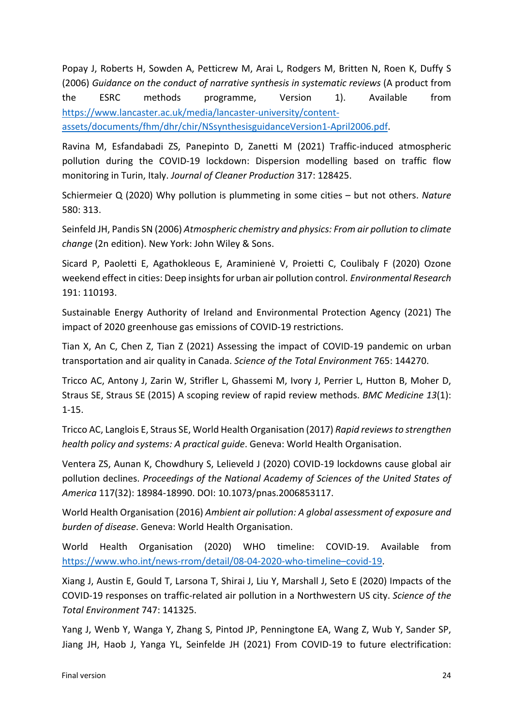Popay J, Roberts H, Sowden A, Petticrew M, Arai L, Rodgers M, Britten N, Roen K, Duffy S (2006) *Guidance on the conduct of narrative synthesis in systematic reviews* (A product from the ESRC methods programme, Version 1). Available from https://www.lancaster.ac.uk/media/lancaster-university/contentassets/documents/fhm/dhr/chir/NSsynthesisguidanceVersion1-April2006.pdf.

Ravina M, Esfandabadi ZS, Panepinto D, Zanetti M (2021) Traffic-induced atmospheric pollution during the COVID-19 lockdown: Dispersion modelling based on traffic flow monitoring in Turin, Italy. *Journal of Cleaner Production* 317: 128425.

Schiermeier Q (2020) Why pollution is plummeting in some cities – but not others. *Nature* 580: 313.

Seinfeld JH, Pandis SN (2006) *Atmospheric chemistry and physics: From air pollution to climate change* (2n edition). New York: John Wiley & Sons.

Sicard P, Paoletti E, Agathokleous E, Araminienė V, Proietti C, Coulibaly F (2020) Ozone weekend effect in cities: Deep insights for urban air pollution control. *Environmental Research* 191: 110193.

Sustainable Energy Authority of Ireland and Environmental Protection Agency (2021) The impact of 2020 greenhouse gas emissions of COVID-19 restrictions.

Tian X, An C, Chen Z, Tian Z (2021) Assessing the impact of COVID-19 pandemic on urban transportation and air quality in Canada. *Science of the Total Environment* 765: 144270.

Tricco AC, Antony J, Zarin W, Strifler L, Ghassemi M, Ivory J, Perrier L, Hutton B, Moher D, Straus SE, Straus SE (2015) A scoping review of rapid review methods. *BMC Medicine 13*(1): 1-15.

Tricco AC, Langlois E, Straus SE, World Health Organisation (2017) *Rapid reviews to strengthen health policy and systems: A practical guide*. Geneva: World Health Organisation.

Ventera ZS, Aunan K, Chowdhury S, Lelieveld J (2020) COVID-19 lockdowns cause global air pollution declines. *Proceedings of the National Academy of Sciences of the United States of America* 117(32): 18984-18990. DOI: 10.1073/pnas.2006853117.

World Health Organisation (2016) *Ambient air pollution: A global assessment of exposure and burden of disease*. Geneva: World Health Organisation.

World Health Organisation (2020) WHO timeline: COVID-19. Available from https://www.who.int/news-rrom/detail/08-04-2020-who-timeline–covid-19.

Xiang J, Austin E, Gould T, Larsona T, Shirai J, Liu Y, Marshall J, Seto E (2020) Impacts of the COVID-19 responses on traffic-related air pollution in a Northwestern US city. *Science of the Total Environment* 747: 141325.

Yang J, Wenb Y, Wanga Y, Zhang S, Pintod JP, Penningtone EA, Wang Z, Wub Y, Sander SP, Jiang JH, Haob J, Yanga YL, Seinfelde JH (2021) From COVID-19 to future electrification: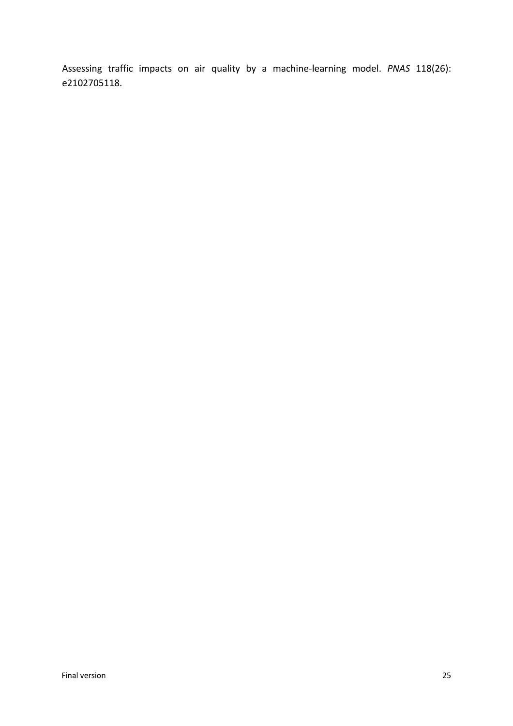Assessing traffic impacts on air quality by a machine-learning model. *PNAS* 118(26): e2102705118.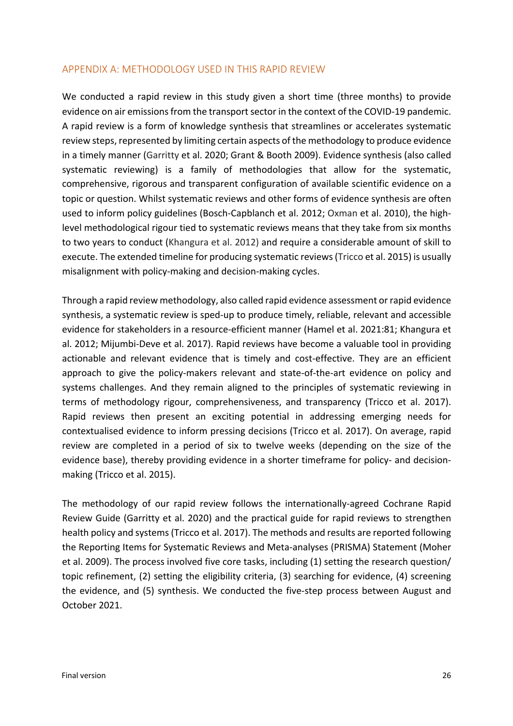#### APPENDIX A: METHODOLOGY USED IN THIS RAPID REVIEW

We conducted a rapid review in this study given a short time (three months) to provide evidence on air emissions from the transport sector in the context of the COVID-19 pandemic. A rapid review is a form of knowledge synthesis that streamlines or accelerates systematic review steps, represented by limiting certain aspects of the methodology to produce evidence in a timely manner (Garritty et al. 2020; Grant & Booth 2009). Evidence synthesis (also called systematic reviewing) is a family of methodologies that allow for the systematic, comprehensive, rigorous and transparent configuration of available scientific evidence on a topic or question. Whilst systematic reviews and other forms of evidence synthesis are often used to inform policy guidelines (Bosch-Capblanch et al. 2012; Oxman et al. 2010), the highlevel methodological rigour tied to systematic reviews means that they take from six months to two years to conduct (Khangura et al. 2012) and require a considerable amount of skill to execute. The extended timeline for producing systematic reviews (Tricco et al. 2015) is usually misalignment with policy-making and decision-making cycles.

Through a rapid review methodology, also called rapid evidence assessment or rapid evidence synthesis, a systematic review is sped-up to produce timely, reliable, relevant and accessible evidence for stakeholders in a resource-efficient manner (Hamel et al. 2021:81; Khangura et al. 2012; Mijumbi-Deve et al. 2017). Rapid reviews have become a valuable tool in providing actionable and relevant evidence that is timely and cost-effective. They are an efficient approach to give the policy-makers relevant and state-of-the-art evidence on policy and systems challenges. And they remain aligned to the principles of systematic reviewing in terms of methodology rigour, comprehensiveness, and transparency (Tricco et al. 2017). Rapid reviews then present an exciting potential in addressing emerging needs for contextualised evidence to inform pressing decisions (Tricco et al. 2017). On average, rapid review are completed in a period of six to twelve weeks (depending on the size of the evidence base), thereby providing evidence in a shorter timeframe for policy- and decisionmaking (Tricco et al. 2015).

The methodology of our rapid review follows the internationally-agreed Cochrane Rapid Review Guide (Garritty et al. 2020) and the practical guide for rapid reviews to strengthen health policy and systems (Tricco et al. 2017). The methods and results are reported following the Reporting Items for Systematic Reviews and Meta-analyses (PRISMA) Statement (Moher et al. 2009). The process involved five core tasks, including (1) setting the research question/ topic refinement, (2) setting the eligibility criteria, (3) searching for evidence, (4) screening the evidence, and (5) synthesis. We conducted the five-step process between August and October 2021.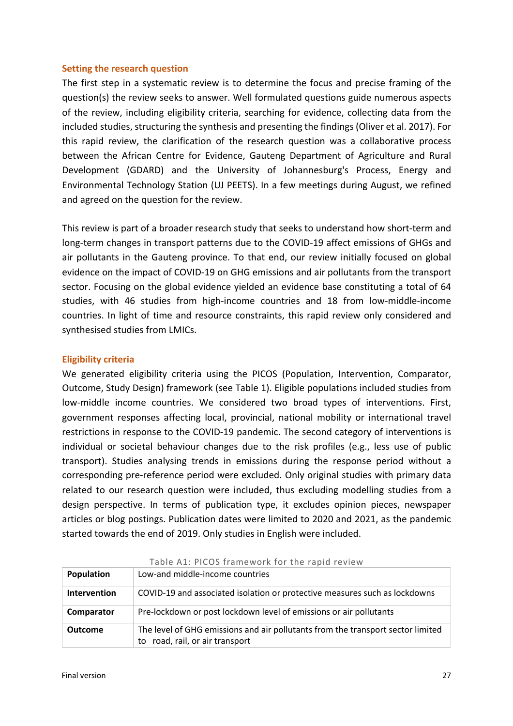#### **Setting the research question**

The first step in a systematic review is to determine the focus and precise framing of the question(s) the review seeks to answer. Well formulated questions guide numerous aspects of the review, including eligibility criteria, searching for evidence, collecting data from the included studies, structuring the synthesis and presenting the findings (Oliver et al. 2017). For this rapid review, the clarification of the research question was a collaborative process between the African Centre for Evidence, Gauteng Department of Agriculture and Rural Development (GDARD) and the University of Johannesburg's Process, Energy and Environmental Technology Station (UJ PEETS). In a few meetings during August, we refined and agreed on the question for the review.

This review is part of a broader research study that seeks to understand how short-term and long-term changes in transport patterns due to the COVID-19 affect emissions of GHGs and air pollutants in the Gauteng province. To that end, our review initially focused on global evidence on the impact of COVID-19 on GHG emissions and air pollutants from the transport sector. Focusing on the global evidence yielded an evidence base constituting a total of 64 studies, with 46 studies from high-income countries and 18 from low-middle-income countries. In light of time and resource constraints, this rapid review only considered and synthesised studies from LMICs.

#### **Eligibility criteria**

We generated eligibility criteria using the PICOS (Population, Intervention, Comparator, Outcome, Study Design) framework (see Table 1). Eligible populations included studies from low-middle income countries. We considered two broad types of interventions. First, government responses affecting local, provincial, national mobility or international travel restrictions in response to the COVID-19 pandemic. The second category of interventions is individual or societal behaviour changes due to the risk profiles (e.g., less use of public transport). Studies analysing trends in emissions during the response period without a corresponding pre-reference period were excluded. Only original studies with primary data related to our research question were included, thus excluding modelling studies from a design perspective. In terms of publication type, it excludes opinion pieces, newspaper articles or blog postings. Publication dates were limited to 2020 and 2021, as the pandemic started towards the end of 2019. Only studies in English were included.

| Population          | Low-and middle-income countries                                                                                    |
|---------------------|--------------------------------------------------------------------------------------------------------------------|
| <b>Intervention</b> | COVID-19 and associated isolation or protective measures such as lockdowns                                         |
| Comparator          | Pre-lockdown or post lockdown level of emissions or air pollutants                                                 |
| <b>Outcome</b>      | The level of GHG emissions and air pollutants from the transport sector limited<br>to road, rail, or air transport |

#### Table A1: PICOS framework for the rapid review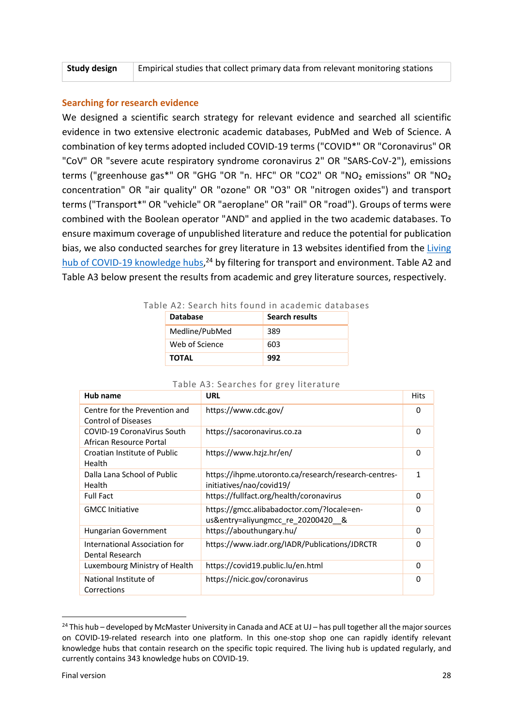| Study design<br>Empirical studies that collect primary data from relevant monitoring stations |
|-----------------------------------------------------------------------------------------------|
|-----------------------------------------------------------------------------------------------|

#### **Searching for research evidence**

We designed a scientific search strategy for relevant evidence and searched all scientific evidence in two extensive electronic academic databases, PubMed and Web of Science. A combination of key terms adopted included COVID-19 terms ("COVID\*" OR "Coronavirus" OR "CoV" OR "severe acute respiratory syndrome coronavirus 2" OR "SARS-CoV-2"), emissions terms ("greenhouse gas\*" OR "GHG "OR "n. HFC" OR "CO2" OR "NO<sub>2</sub> emissions" OR "NO<sub>2</sub> concentration" OR "air quality" OR "ozone" OR "O3" OR "nitrogen oxides") and transport terms ("Transport\*" OR "vehicle" OR "aeroplane" OR "rail" OR "road"). Groups of terms were combined with the Boolean operator "AND" and applied in the two academic databases. To ensure maximum coverage of unpublished literature and reduce the potential for publication bias, we also conducted searches for grey literature in 13 websites identified from the Living hub of COVID-19 knowledge hubs,<sup>24</sup> by filtering for transport and environment. Table A2 and Table A3 below present the results from academic and grey literature sources, respectively.

| THE AZ. SEATCH IIILS TOUTIO III ACAUEIIIIC UALADAS |                 |                       |  |  |  |  |
|----------------------------------------------------|-----------------|-----------------------|--|--|--|--|
|                                                    | <b>Database</b> | <b>Search results</b> |  |  |  |  |
|                                                    | Medline/PubMed  | 389                   |  |  |  |  |
|                                                    | Web of Science  | 603                   |  |  |  |  |
|                                                    | TOTAL           | 992                   |  |  |  |  |

#### Table A2: Search hits found in academic databases

| Hub name                                                    | <b>URL</b>                                                                       | <b>Hits</b> |
|-------------------------------------------------------------|----------------------------------------------------------------------------------|-------------|
| Centre for the Prevention and<br><b>Control of Diseases</b> | https://www.cdc.gov/                                                             | 0           |
| COVID-19 CoronaVirus South<br>African Resource Portal       | https://sacoronavirus.co.za                                                      | 0           |
| Croatian Institute of Public<br>Health                      | https://www.hzjz.hr/en/                                                          | $\Omega$    |
| Dalla Lana School of Public<br><b>Health</b>                | https://ihpme.utoronto.ca/research/research-centres-<br>initiatives/nao/covid19/ | 1           |
| <b>Full Fact</b>                                            | https://fullfact.org/health/coronavirus                                          | $\Omega$    |
| <b>GMCC Initiative</b>                                      | https://gmcc.alibabadoctor.com/?locale=en-<br>us&entry=aliyungmcc re 20200420 &  | $\Omega$    |
| Hungarian Government                                        | https://abouthungary.hu/                                                         | 0           |
| International Association for<br>Dental Research            | https://www.iadr.org/IADR/Publications/JDRCTR                                    | 0           |
| Luxembourg Ministry of Health                               | https://covid19.public.lu/en.html                                                | 0           |
| National Institute of<br>Corrections                        | https://nicic.gov/coronavirus                                                    | $\Omega$    |

#### Table A3: Searches for grey literature

<sup>&</sup>lt;sup>24</sup> This hub – developed by McMaster University in Canada and ACE at UJ – has pull together all the major sources on COVID-19-related research into one platform. In this one-stop shop one can rapidly identify relevant knowledge hubs that contain research on the specific topic required. The living hub is updated regularly, and currently contains 343 knowledge hubs on COVID-19.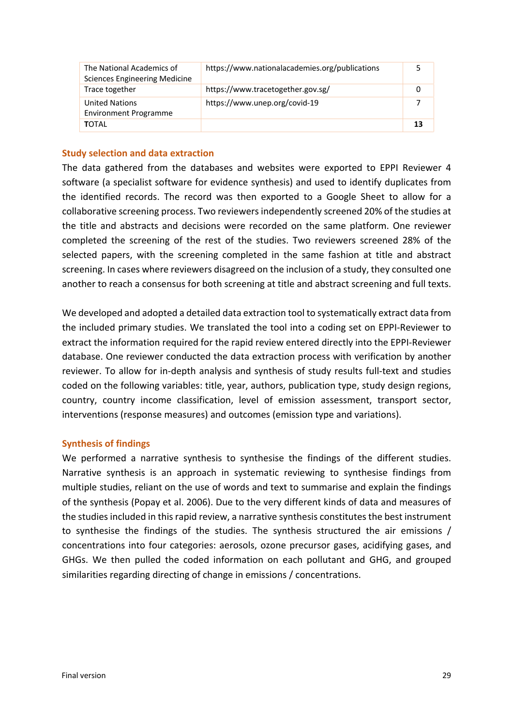| The National Academics of<br><b>Sciences Engineering Medicine</b> | https://www.nationalacademies.org/publications |    |
|-------------------------------------------------------------------|------------------------------------------------|----|
| Trace together                                                    | https://www.tracetogether.gov.sg/              |    |
| <b>United Nations</b><br><b>Environment Programme</b>             | https://www.unep.org/covid-19                  |    |
| TOTAL                                                             |                                                | 13 |

#### **Study selection and data extraction**

The data gathered from the databases and websites were exported to EPPI Reviewer 4 software (a specialist software for evidence synthesis) and used to identify duplicates from the identified records. The record was then exported to a Google Sheet to allow for a collaborative screening process. Two reviewers independently screened 20% of the studies at the title and abstracts and decisions were recorded on the same platform. One reviewer completed the screening of the rest of the studies. Two reviewers screened 28% of the selected papers, with the screening completed in the same fashion at title and abstract screening. In cases where reviewers disagreed on the inclusion of a study, they consulted one another to reach a consensus for both screening at title and abstract screening and full texts.

We developed and adopted a detailed data extraction tool to systematically extract data from the included primary studies. We translated the tool into a coding set on EPPI-Reviewer to extract the information required for the rapid review entered directly into the EPPI-Reviewer database. One reviewer conducted the data extraction process with verification by another reviewer. To allow for in-depth analysis and synthesis of study results full-text and studies coded on the following variables: title, year, authors, publication type, study design regions, country, country income classification, level of emission assessment, transport sector, interventions (response measures) and outcomes (emission type and variations).

#### **Synthesis of findings**

We performed a narrative synthesis to synthesise the findings of the different studies. Narrative synthesis is an approach in systematic reviewing to synthesise findings from multiple studies, reliant on the use of words and text to summarise and explain the findings of the synthesis (Popay et al. 2006). Due to the very different kinds of data and measures of the studies included in this rapid review, a narrative synthesis constitutes the best instrument to synthesise the findings of the studies. The synthesis structured the air emissions / concentrations into four categories: aerosols, ozone precursor gases, acidifying gases, and GHGs. We then pulled the coded information on each pollutant and GHG, and grouped similarities regarding directing of change in emissions / concentrations.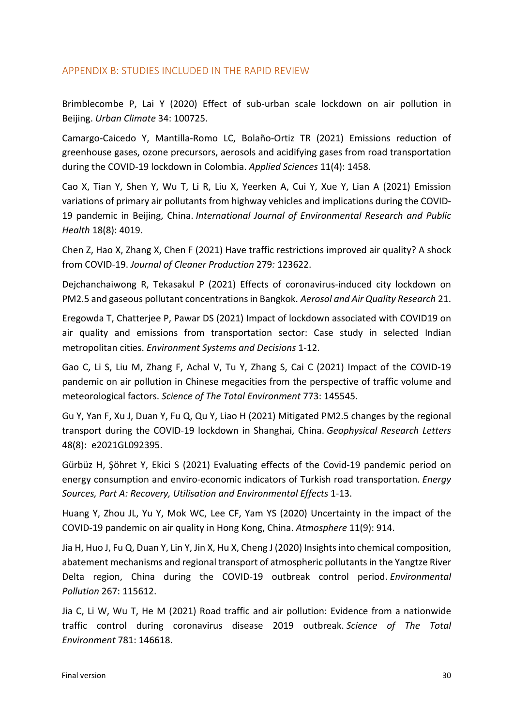## APPENDIX B: STUDIES INCLUDED IN THE RAPID REVIEW

Brimblecombe P, Lai Y (2020) Effect of sub-urban scale lockdown on air pollution in Beijing. *Urban Climate* 34: 100725.

Camargo-Caicedo Y, Mantilla-Romo LC, Bolaño-Ortiz TR (2021) Emissions reduction of greenhouse gases, ozone precursors, aerosols and acidifying gases from road transportation during the COVID-19 lockdown in Colombia. *Applied Sciences* 11(4): 1458.

Cao X, Tian Y, Shen Y, Wu T, Li R, Liu X, Yeerken A, Cui Y, Xue Y, Lian A (2021) Emission variations of primary air pollutants from highway vehicles and implications during the COVID-19 pandemic in Beijing, China. *International Journal of Environmental Research and Public Health* 18(8): 4019.

Chen Z, Hao X, Zhang X, Chen F (2021) Have traffic restrictions improved air quality? A shock from COVID-19. *Journal of Cleaner Production* 279*:* 123622.

Dejchanchaiwong R, Tekasakul P (2021) Effects of coronavirus-induced city lockdown on PM2.5 and gaseous pollutant concentrations in Bangkok. *Aerosol and Air Quality Research* 21.

Eregowda T, Chatterjee P, Pawar DS (2021) Impact of lockdown associated with COVID19 on air quality and emissions from transportation sector: Case study in selected Indian metropolitan cities. *Environment Systems and Decisions* 1-12.

Gao C, Li S, Liu M, Zhang F, Achal V, Tu Y, Zhang S, Cai C (2021) Impact of the COVID-19 pandemic on air pollution in Chinese megacities from the perspective of traffic volume and meteorological factors. *Science of The Total Environment* 773: 145545.

Gu Y, Yan F, Xu J, Duan Y, Fu Q, Qu Y, Liao H (2021) Mitigated PM2.5 changes by the regional transport during the COVID-19 lockdown in Shanghai, China. *Geophysical Research Letters* 48(8): e2021GL092395.

Gürbüz H, Şöhret Y, Ekici S (2021) Evaluating effects of the Covid-19 pandemic period on energy consumption and enviro-economic indicators of Turkish road transportation. *Energy Sources, Part A: Recovery, Utilisation and Environmental Effects* 1-13.

Huang Y, Zhou JL, Yu Y, Mok WC, Lee CF, Yam YS (2020) Uncertainty in the impact of the COVID-19 pandemic on air quality in Hong Kong, China. *Atmosphere* 11(9): 914.

Jia H, Huo J, Fu Q, Duan Y, Lin Y, Jin X, Hu X, Cheng J (2020) Insights into chemical composition, abatement mechanisms and regional transport of atmospheric pollutants in the Yangtze River Delta region, China during the COVID-19 outbreak control period. *Environmental Pollution* 267: 115612.

Jia C, Li W, Wu T, He M (2021) Road traffic and air pollution: Evidence from a nationwide traffic control during coronavirus disease 2019 outbreak. *Science of The Total Environment* 781: 146618.